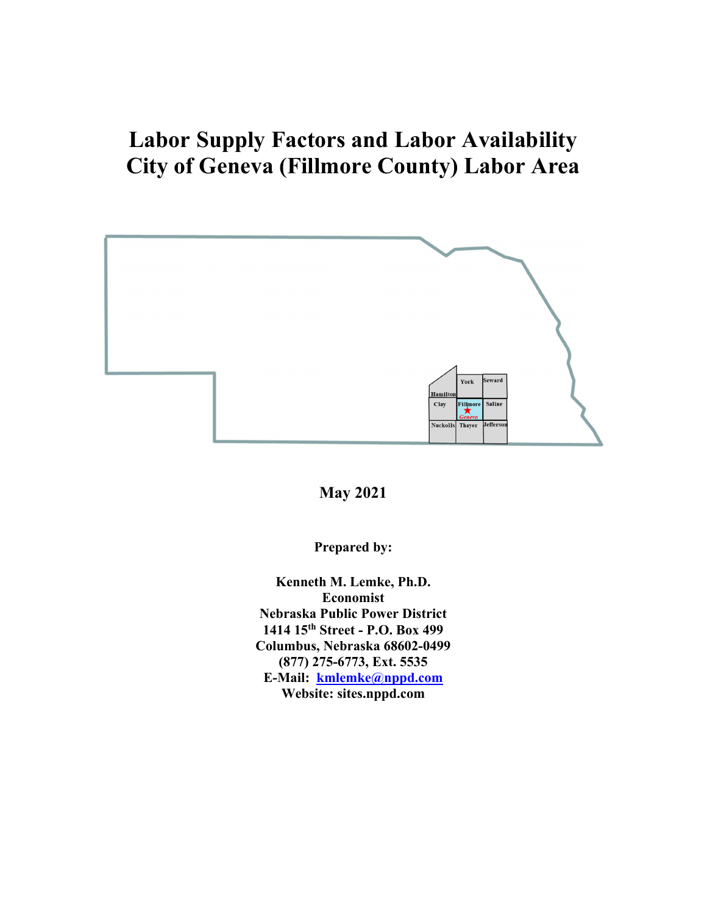# **Labor Supply Factors and Labor Availability City of Geneva (Fillmore County) Labor Area**



**May 2021** 

**Prepared by:** 

**Kenneth M. Lemke, Ph.D. Economist Nebraska Public Power District 1414 15th Street - P.O. Box 499 Columbus, Nebraska 68602-0499 (877) 275-6773, Ext. 5535 E-Mail: kmlemke@nppd.com Website: sites.nppd.com**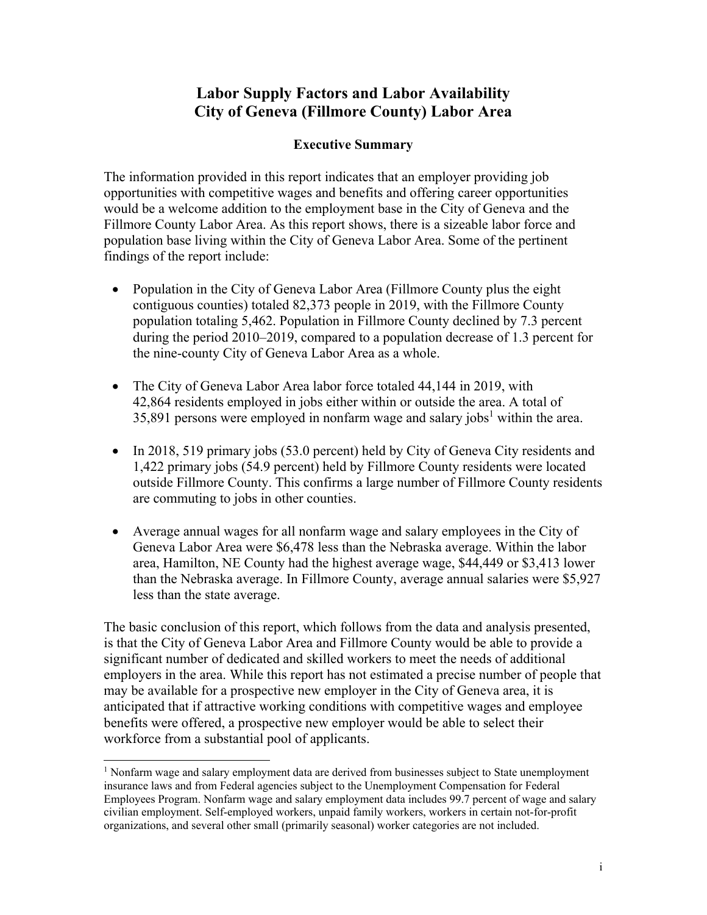# **Labor Supply Factors and Labor Availability City of Geneva (Fillmore County) Labor Area**

## **Executive Summary**

The information provided in this report indicates that an employer providing job opportunities with competitive wages and benefits and offering career opportunities would be a welcome addition to the employment base in the City of Geneva and the Fillmore County Labor Area. As this report shows, there is a sizeable labor force and population base living within the City of Geneva Labor Area. Some of the pertinent findings of the report include:

- Population in the City of Geneva Labor Area (Fillmore County plus the eight contiguous counties) totaled 82,373 people in 2019, with the Fillmore County population totaling 5,462. Population in Fillmore County declined by 7.3 percent during the period 2010–2019, compared to a population decrease of 1.3 percent for the nine-county City of Geneva Labor Area as a whole.
- The City of Geneva Labor Area labor force totaled 44,144 in 2019, with 42,864 residents employed in jobs either within or outside the area. A total of 35,891 persons were employed in nonfarm wage and salary jobs<sup>1</sup> within the area.
- In 2018, 519 primary jobs (53.0 percent) held by City of Geneva City residents and 1,422 primary jobs (54.9 percent) held by Fillmore County residents were located outside Fillmore County. This confirms a large number of Fillmore County residents are commuting to jobs in other counties.
- Average annual wages for all nonfarm wage and salary employees in the City of Geneva Labor Area were \$6,478 less than the Nebraska average. Within the labor area, Hamilton, NE County had the highest average wage, \$44,449 or \$3,413 lower than the Nebraska average. In Fillmore County, average annual salaries were \$5,927 less than the state average.

The basic conclusion of this report, which follows from the data and analysis presented, is that the City of Geneva Labor Area and Fillmore County would be able to provide a significant number of dedicated and skilled workers to meet the needs of additional employers in the area. While this report has not estimated a precise number of people that may be available for a prospective new employer in the City of Geneva area, it is anticipated that if attractive working conditions with competitive wages and employee benefits were offered, a prospective new employer would be able to select their workforce from a substantial pool of applicants.

<sup>&</sup>lt;sup>1</sup> Nonfarm wage and salary employment data are derived from businesses subject to State unemployment insurance laws and from Federal agencies subject to the Unemployment Compensation for Federal Employees Program. Nonfarm wage and salary employment data includes 99.7 percent of wage and salary civilian employment. Self-employed workers, unpaid family workers, workers in certain not-for-profit organizations, and several other small (primarily seasonal) worker categories are not included.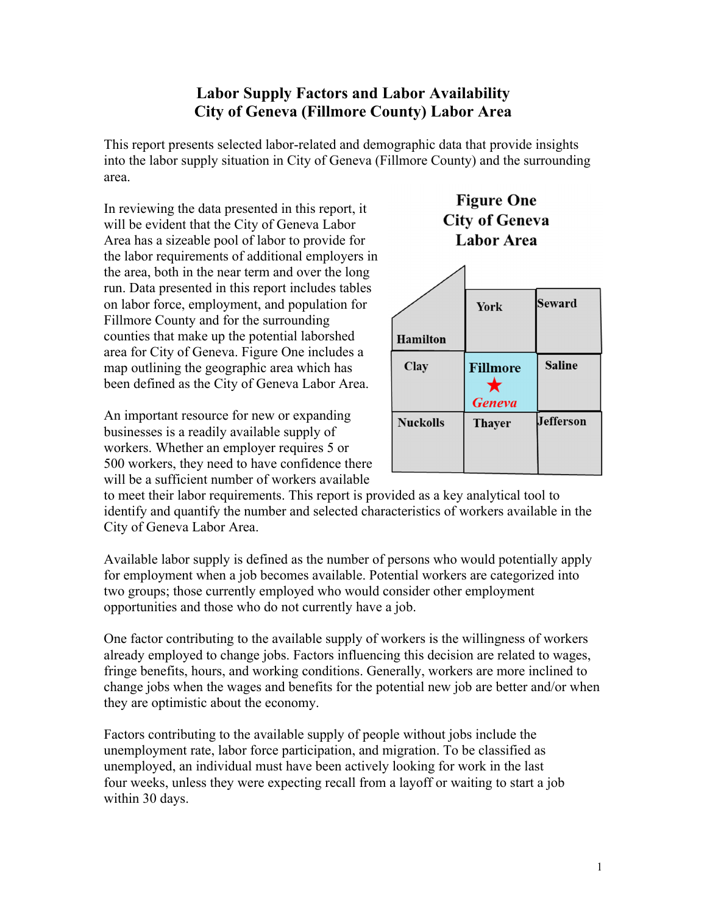# **Labor Supply Factors and Labor Availability City of Geneva (Fillmore County) Labor Area**

This report presents selected labor-related and demographic data that provide insights into the labor supply situation in City of Geneva (Fillmore County) and the surrounding area.

In reviewing the data presented in this report, it will be evident that the City of Geneva Labor Area has a sizeable pool of labor to provide for the labor requirements of additional employers in the area, both in the near term and over the long run. Data presented in this report includes tables on labor force, employment, and population for Fillmore County and for the surrounding counties that make up the potential laborshed area for City of Geneva. Figure One includes a map outlining the geographic area which has been defined as the City of Geneva Labor Area.

An important resource for new or expanding businesses is a readily available supply of workers. Whether an employer requires 5 or 500 workers, they need to have confidence there will be a sufficient number of workers available





to meet their labor requirements. This report is provided as a key analytical tool to identify and quantify the number and selected characteristics of workers available in the City of Geneva Labor Area.

Available labor supply is defined as the number of persons who would potentially apply for employment when a job becomes available. Potential workers are categorized into two groups; those currently employed who would consider other employment opportunities and those who do not currently have a job.

One factor contributing to the available supply of workers is the willingness of workers already employed to change jobs. Factors influencing this decision are related to wages, fringe benefits, hours, and working conditions. Generally, workers are more inclined to change jobs when the wages and benefits for the potential new job are better and/or when they are optimistic about the economy.

Factors contributing to the available supply of people without jobs include the unemployment rate, labor force participation, and migration. To be classified as unemployed, an individual must have been actively looking for work in the last four weeks, unless they were expecting recall from a layoff or waiting to start a job within 30 days.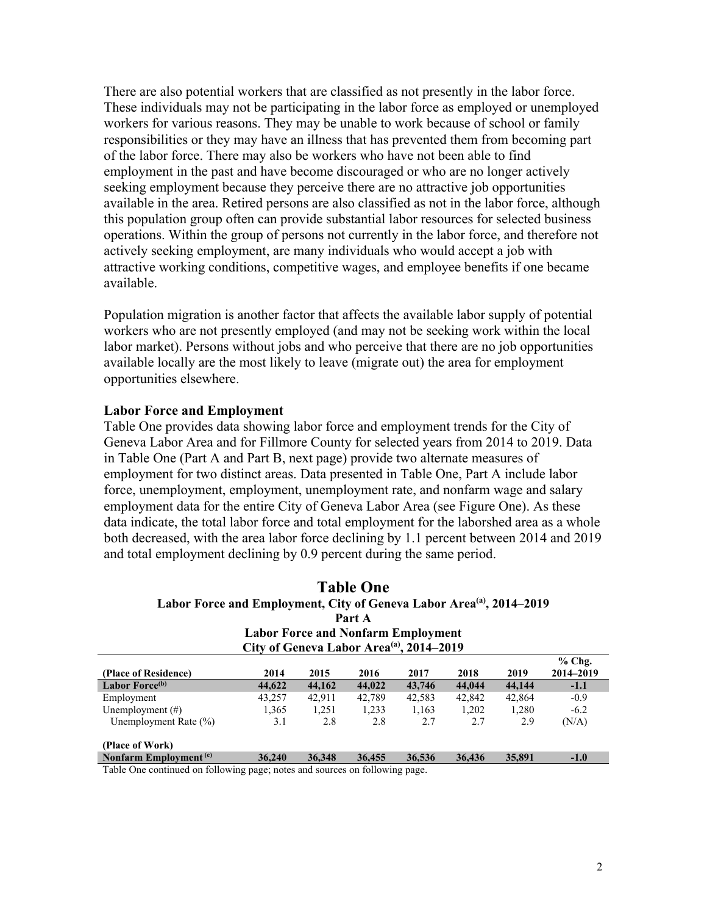There are also potential workers that are classified as not presently in the labor force. These individuals may not be participating in the labor force as employed or unemployed workers for various reasons. They may be unable to work because of school or family responsibilities or they may have an illness that has prevented them from becoming part of the labor force. There may also be workers who have not been able to find employment in the past and have become discouraged or who are no longer actively seeking employment because they perceive there are no attractive job opportunities available in the area. Retired persons are also classified as not in the labor force, although this population group often can provide substantial labor resources for selected business operations. Within the group of persons not currently in the labor force, and therefore not actively seeking employment, are many individuals who would accept a job with attractive working conditions, competitive wages, and employee benefits if one became available.

Population migration is another factor that affects the available labor supply of potential workers who are not presently employed (and may not be seeking work within the local labor market). Persons without jobs and who perceive that there are no job opportunities available locally are the most likely to leave (migrate out) the area for employment opportunities elsewhere.

#### **Labor Force and Employment**

Table One provides data showing labor force and employment trends for the City of Geneva Labor Area and for Fillmore County for selected years from 2014 to 2019. Data in Table One (Part A and Part B, next page) provide two alternate measures of employment for two distinct areas. Data presented in Table One, Part A include labor force, unemployment, employment, unemployment rate, and nonfarm wage and salary employment data for the entire City of Geneva Labor Area (see Figure One). As these data indicate, the total labor force and total employment for the laborshed area as a whole both decreased, with the area labor force declining by 1.1 percent between 2014 and 2019 and total employment declining by 0.9 percent during the same period.

| <b>Table One</b><br>Labor Force and Employment, City of Geneva Labor Area <sup>(a)</sup> , 2014-2019 |                                                      |        |        |        |        |        |                       |
|------------------------------------------------------------------------------------------------------|------------------------------------------------------|--------|--------|--------|--------|--------|-----------------------|
|                                                                                                      |                                                      |        | Part A |        |        |        |                       |
|                                                                                                      | <b>Labor Force and Nonfarm Employment</b>            |        |        |        |        |        |                       |
|                                                                                                      | City of Geneva Labor Area <sup>(a)</sup> , 2014–2019 |        |        |        |        |        |                       |
| (Place of Residence)                                                                                 | 2014                                                 | 2015   | 2016   | 2017   | 2018   | 2019   | $%$ Chg.<br>2014-2019 |
| Labor Force <sup>(b)</sup>                                                                           | 44,622                                               | 44,162 | 44,022 | 43,746 | 44,044 | 44,144 | $-1.1$                |
| Employment                                                                                           | 43,257                                               | 42,911 | 42.789 | 42,583 | 42,842 | 42,864 | $-0.9$                |
| Unemployment $(\#)$                                                                                  | 1,365                                                | 1,251  | 1,233  | 1,163  | 1,202  | 1,280  | $-6.2$                |
| Unemployment Rate $(\%)$                                                                             | 3.1                                                  | 2.8    | 2.8    | 2.7    | 2.7    | 2.9    | (N/A)                 |
| (Place of Work)                                                                                      |                                                      |        |        |        |        |        |                       |
| Nonfarm Employment <sup>(c)</sup>                                                                    | 36,240                                               | 36.348 | 36,455 | 36.536 | 36,436 | 35,891 | $-1.0$                |

Table One continued on following page; notes and sources on following page.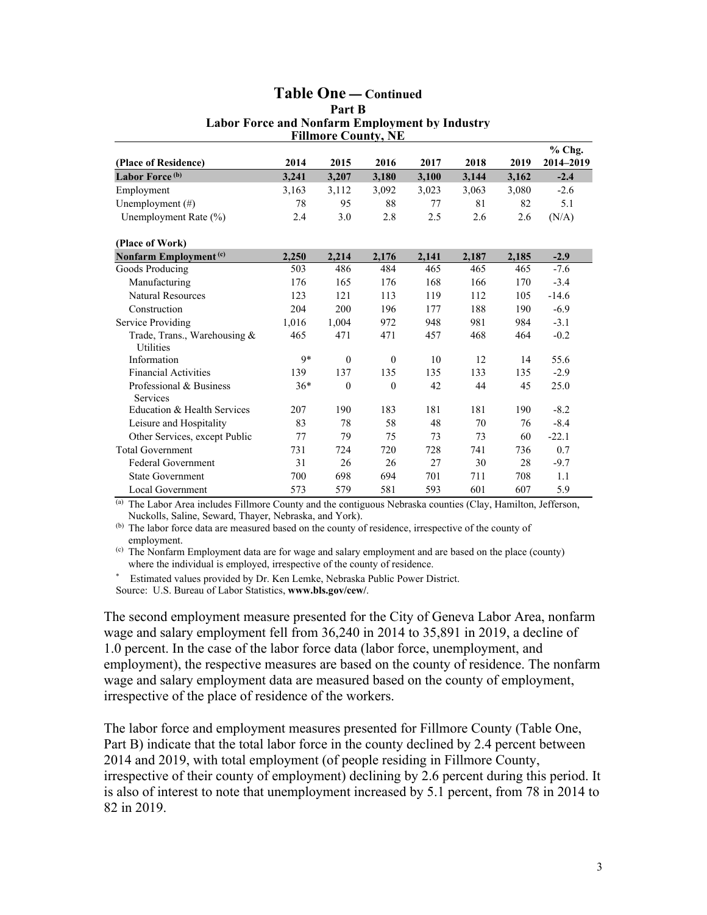#### **Table One — Continued Part B Labor Force and Nonfarm Employment by Industry Fillmore County, NE**

|                                                  |       |          | 1 minute Country |       |       |       | $%$ Chg.  |
|--------------------------------------------------|-------|----------|------------------|-------|-------|-------|-----------|
| (Place of Residence)                             | 2014  | 2015     | 2016             | 2017  | 2018  | 2019  | 2014-2019 |
| Labor Force <sup>(b)</sup>                       | 3,241 | 3,207    | 3,180            | 3,100 | 3,144 | 3,162 | $-2.4$    |
| Employment                                       | 3,163 | 3,112    | 3,092            | 3,023 | 3,063 | 3,080 | $-2.6$    |
| Unemployment (#)                                 | 78    | 95       | 88               | 77    | 81    | 82    | 5.1       |
| Unemployment Rate (%)                            | 2.4   | 3.0      | 2.8              | 2.5   | 2.6   | 2.6   | (N/A)     |
| (Place of Work)                                  |       |          |                  |       |       |       |           |
| Nonfarm Employment <sup>(c)</sup>                | 2,250 | 2,214    | 2,176            | 2,141 | 2,187 | 2,185 | $-2.9$    |
| Goods Producing                                  | 503   | 486      | 484              | 465   | 465   | 465   | $-7.6$    |
| Manufacturing                                    | 176   | 165      | 176              | 168   | 166   | 170   | $-3.4$    |
| <b>Natural Resources</b>                         | 123   | 121      | 113              | 119   | 112   | 105   | $-14.6$   |
| Construction                                     | 204   | 200      | 196              | 177   | 188   | 190   | $-6.9$    |
| Service Providing                                | 1.016 | 1,004    | 972              | 948   | 981   | 984   | $-3.1$    |
| Trade, Trans., Warehousing &<br><b>Utilities</b> | 465   | 471      | 471              | 457   | 468   | 464   | $-0.2$    |
| Information                                      | $Q*$  | $\theta$ | $\theta$         | 10    | 12    | 14    | 55.6      |
| <b>Financial Activities</b>                      | 139   | 137      | 135              | 135   | 133   | 135   | $-2.9$    |
| Professional & Business<br>Services              | $36*$ | $\theta$ | $\theta$         | 42    | 44    | 45    | 25.0      |
| Education & Health Services                      | 207   | 190      | 183              | 181   | 181   | 190   | $-8.2$    |
| Leisure and Hospitality                          | 83    | 78       | 58               | 48    | 70    | 76    | $-8.4$    |
| Other Services, except Public                    | 77    | 79       | 75               | 73    | 73    | 60    | $-22.1$   |
| <b>Total Government</b>                          | 731   | 724      | 720              | 728   | 741   | 736   | 0.7       |
| <b>Federal Government</b>                        | 31    | 26       | 26               | 27    | 30    | 28    | $-9.7$    |
| <b>State Government</b>                          | 700   | 698      | 694              | 701   | 711   | 708   | 1.1       |
| Local Government                                 | 573   | 579      | 581              | 593   | 601   | 607   | 5.9       |

(a) The Labor Area includes Fillmore County and the contiguous Nebraska counties (Clay, Hamilton, Jefferson, Nuckolls, Saline, Seward, Thayer, Nebraska, and York).

<sup>(b)</sup> The labor force data are measured based on the county of residence, irrespective of the county of employment.

(c) The Nonfarm Employment data are for wage and salary employment and are based on the place (county) where the individual is employed, irrespective of the county of residence.

Estimated values provided by Dr. Ken Lemke, Nebraska Public Power District.

Source: U.S. Bureau of Labor Statistics, **www.bls.gov/cew/**.

The second employment measure presented for the City of Geneva Labor Area, nonfarm wage and salary employment fell from 36,240 in 2014 to 35,891 in 2019, a decline of 1.0 percent. In the case of the labor force data (labor force, unemployment, and employment), the respective measures are based on the county of residence. The nonfarm wage and salary employment data are measured based on the county of employment, irrespective of the place of residence of the workers.

The labor force and employment measures presented for Fillmore County (Table One, Part B) indicate that the total labor force in the county declined by 2.4 percent between 2014 and 2019, with total employment (of people residing in Fillmore County, irrespective of their county of employment) declining by 2.6 percent during this period. It is also of interest to note that unemployment increased by 5.1 percent, from 78 in 2014 to 82 in 2019.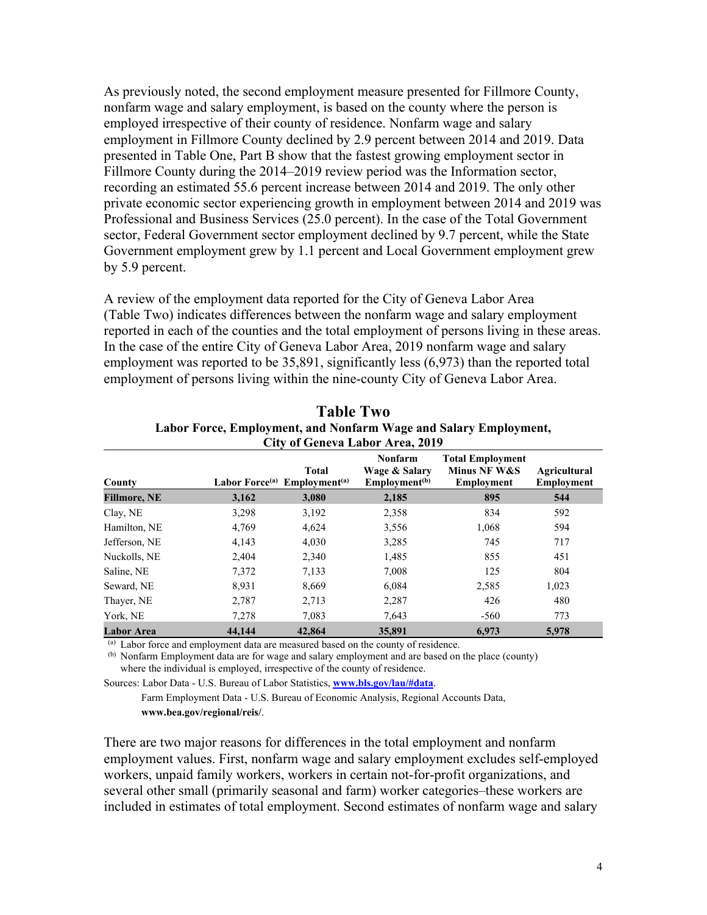As previously noted, the second employment measure presented for Fillmore County, nonfarm wage and salary employment, is based on the county where the person is employed irrespective of their county of residence. Nonfarm wage and salary employment in Fillmore County declined by 2.9 percent between 2014 and 2019. Data presented in Table One, Part B show that the fastest growing employment sector in Fillmore County during the 2014–2019 review period was the Information sector, recording an estimated 55.6 percent increase between 2014 and 2019. The only other private economic sector experiencing growth in employment between 2014 and 2019 was Professional and Business Services (25.0 percent). In the case of the Total Government sector, Federal Government sector employment declined by 9.7 percent, while the State Government employment grew by 1.1 percent and Local Government employment grew by 5.9 percent.

A review of the employment data reported for the City of Geneva Labor Area (Table Two) indicates differences between the nonfarm wage and salary employment reported in each of the counties and the total employment of persons living in these areas. In the case of the entire City of Geneva Labor Area, 2019 nonfarm wage and salary employment was reported to be 35,891, significantly less (6,973) than the reported total employment of persons living within the nine-county City of Geneva Labor Area.

| County              | Labor Force <sup>(a)</sup> | <b>Total</b><br>Emplovment <sup>(a)</sup> | <b>Nonfarm</b><br>Wage & Salary<br>Employment <sup>(b)</sup> | <b>Total Employment</b><br>Minus NF W&S<br><b>Employment</b> | <b>Agricultural</b><br><b>Employment</b> |
|---------------------|----------------------------|-------------------------------------------|--------------------------------------------------------------|--------------------------------------------------------------|------------------------------------------|
| <b>Fillmore, NE</b> | 3,162                      | 3,080                                     | 2,185                                                        | 895                                                          | 544                                      |
| Clay, NE            | 3,298                      | 3,192                                     | 2,358                                                        | 834                                                          | 592                                      |
| Hamilton, NE        | 4,769                      | 4,624                                     | 3,556                                                        | 1,068                                                        | 594                                      |
| Jefferson, NE       | 4,143                      | 4,030                                     | 3,285                                                        | 745                                                          | 717                                      |
| Nuckolls, NE        | 2,404                      | 2,340                                     | 1,485                                                        | 855                                                          | 451                                      |
| Saline, NE          | 7,372                      | 7,133                                     | 7,008                                                        | 125                                                          | 804                                      |
| Seward, NE          | 8,931                      | 8,669                                     | 6,084                                                        | 2,585                                                        | 1,023                                    |
| Thayer, NE          | 2,787                      | 2,713                                     | 2,287                                                        | 426                                                          | 480                                      |
| York, NE            | 7,278                      | 7,083                                     | 7,643                                                        | $-560$                                                       | 773                                      |
| <b>Labor Area</b>   | 44,144                     | 42,864                                    | 35,891                                                       | 6.973                                                        | 5,978                                    |

**Table Two Labor Force, Employment, and Nonfarm Wage and Salary Employment, City of Geneva Labor Area, 2019** 

(a) Labor force and employment data are measured based on the county of residence.

(b) Nonfarm Employment data are for wage and salary employment and are based on the place (county) where the individual is employed, irrespective of the county of residence.

Sources: Labor Data - U.S. Bureau of Labor Statistics, **www.bls.gov/lau/#data**. Farm Employment Data - U.S. Bureau of Economic Analysis, Regional Accounts Data, **www.bea.gov/regional/reis/**.

There are two major reasons for differences in the total employment and nonfarm employment values. First, nonfarm wage and salary employment excludes self-employed workers, unpaid family workers, workers in certain not-for-profit organizations, and several other small (primarily seasonal and farm) worker categories–these workers are included in estimates of total employment. Second estimates of nonfarm wage and salary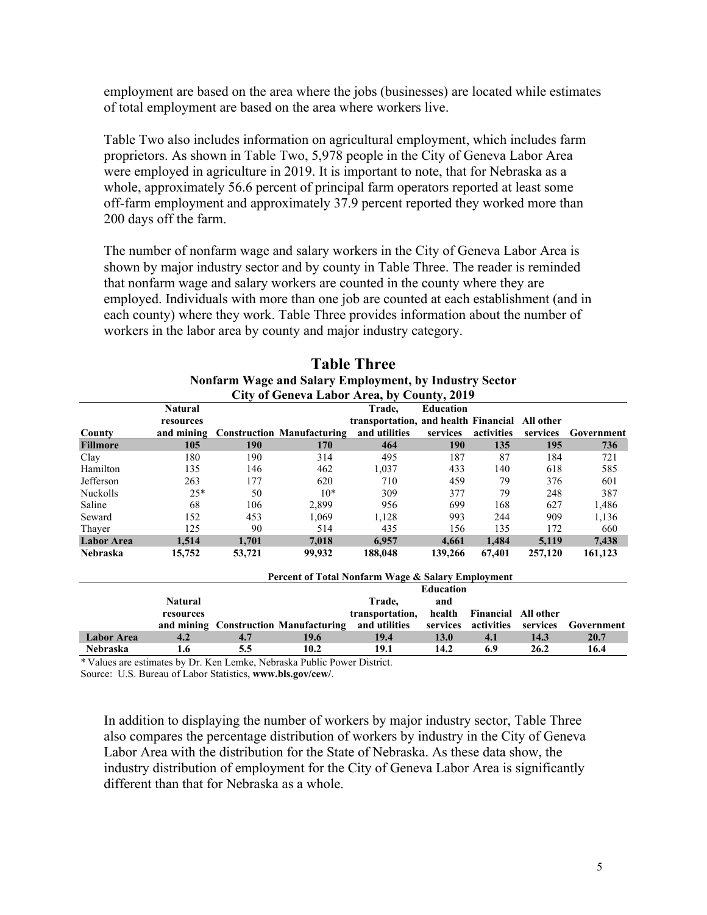employment are based on the area where the jobs (businesses) are located while estimates of total employment are based on the area where workers live.

Table Two also includes information on agricultural employment, which includes farm proprietors. As shown in Table Two, 5,978 people in the City of Geneva Labor Area were employed in agriculture in 2019. It is important to note, that for Nebraska as a whole, approximately 56.6 percent of principal farm operators reported at least some off-farm employment and approximately 37.9 percent reported they worked more than 200 days off the farm.

The number of nonfarm wage and salary workers in the City of Geneva Labor Area is shown by major industry sector and by county in Table Three. The reader is reminded that nonfarm wage and salary workers are counted in the county where they are employed. Individuals with more than one job are counted at each establishment (and in each county) where they work. Table Three provides information about the number of workers in the labor area by county and major industry category.

| City of Geneva Labor Area, by County, 2019 |                             |        |                                                   |                                                          |                  |            |           |            |
|--------------------------------------------|-----------------------------|--------|---------------------------------------------------|----------------------------------------------------------|------------------|------------|-----------|------------|
|                                            | <b>Natural</b><br>resources |        |                                                   | Trade,<br>transportation, and health Financial All other | <b>Education</b> |            |           |            |
| County                                     | and mining                  |        | <b>Construction Manufacturing</b>                 | and utilities                                            | services         | activities | services  | Government |
| <b>Fillmore</b>                            | 105                         | 190    | 170                                               | 464                                                      | <b>190</b>       | 135        | 195       | 736        |
| Clay                                       | 180                         | 190    | 314                                               | 495                                                      | 187              | 87         | 184       | 721        |
| Hamilton                                   | 135                         | 146    | 462                                               | 1,037                                                    | 433              | 140        | 618       | 585        |
| Jefferson                                  | 263                         | 177    | 620                                               | 710                                                      | 459              | 79         | 376       | 601        |
| Nuckolls                                   | $25*$                       | 50     | $10*$                                             | 309                                                      | 377              | 79         | 248       | 387        |
| Saline                                     | 68                          | 106    | 2,899                                             | 956                                                      | 699              | 168        | 627       | 1,486      |
| Seward                                     | 152                         | 453    | 1,069                                             | 1,128                                                    | 993              | 244        | 909       | 1,136      |
| Thayer                                     | 125                         | 90     | 514                                               | 435                                                      | 156              | 135        | 172       | 660        |
| <b>Labor Area</b>                          | 1,514                       | 1,701  | 7,018                                             | 6,957                                                    | 4,661            | 1,484      | 5,119     | 7,438      |
| Nebraska                                   | 15,752                      | 53,721 | 99,932                                            | 188,048                                                  | 139,266          | 67,401     | 257,120   | 161,123    |
|                                            |                             |        | Percent of Total Nonfarm Wage & Salary Employment |                                                          |                  |            |           |            |
|                                            |                             |        |                                                   |                                                          | <b>Education</b> |            |           |            |
|                                            | <b>Natural</b>              |        |                                                   | Trade.                                                   | and              |            |           |            |
|                                            | resources                   |        |                                                   | transportation,                                          | health           | Financial  | All other |            |
|                                            |                             |        | and mining Construction Manufacturing             | and utilities                                            | services         | activities | services  | Government |
| <b>Labor Area</b>                          | 4.2                         | 4.7    | 19.6                                              | 19.4                                                     | <b>13.0</b>      | 4.1        | 14.3      | 20.7       |
| Nebraska                                   | 1.6                         | 5.5    | 10.2                                              | 19.1                                                     | 14.2             | 6.9        | 26.2      | 16.4       |

# **Table Three Nonfarm Wage and Salary Employment, by Industry Sector**

\* Values are estimates by Dr. Ken Lemke, Nebraska Public Power District. Source: U.S. Bureau of Labor Statistics, **www.bls.gov/cew/**.

In addition to displaying the number of workers by major industry sector, Table Three also compares the percentage distribution of workers by industry in the City of Geneva Labor Area with the distribution for the State of Nebraska. As these data show, the industry distribution of employment for the City of Geneva Labor Area is significantly different than that for Nebraska as a whole.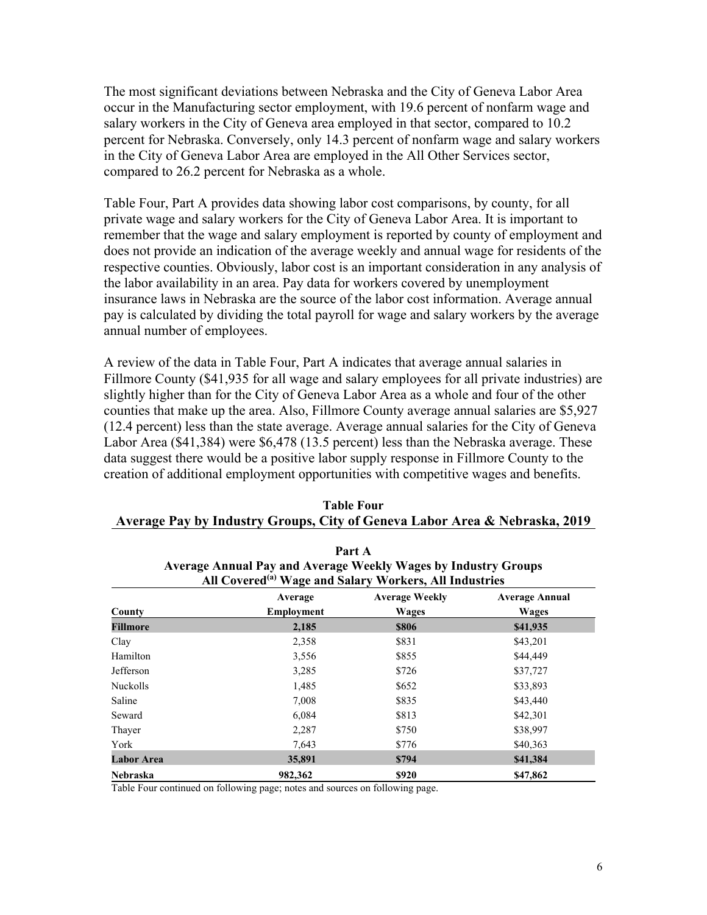The most significant deviations between Nebraska and the City of Geneva Labor Area occur in the Manufacturing sector employment, with 19.6 percent of nonfarm wage and salary workers in the City of Geneva area employed in that sector, compared to 10.2 percent for Nebraska. Conversely, only 14.3 percent of nonfarm wage and salary workers in the City of Geneva Labor Area are employed in the All Other Services sector, compared to 26.2 percent for Nebraska as a whole.

Table Four, Part A provides data showing labor cost comparisons, by county, for all private wage and salary workers for the City of Geneva Labor Area. It is important to remember that the wage and salary employment is reported by county of employment and does not provide an indication of the average weekly and annual wage for residents of the respective counties. Obviously, labor cost is an important consideration in any analysis of the labor availability in an area. Pay data for workers covered by unemployment insurance laws in Nebraska are the source of the labor cost information. Average annual pay is calculated by dividing the total payroll for wage and salary workers by the average annual number of employees.

A review of the data in Table Four, Part A indicates that average annual salaries in Fillmore County (\$41,935 for all wage and salary employees for all private industries) are slightly higher than for the City of Geneva Labor Area as a whole and four of the other counties that make up the area. Also, Fillmore County average annual salaries are \$5,927 (12.4 percent) less than the state average. Average annual salaries for the City of Geneva Labor Area (\$41,384) were \$6,478 (13.5 percent) less than the Nebraska average. These data suggest there would be a positive labor supply response in Fillmore County to the creation of additional employment opportunities with competitive wages and benefits.

| Part A                                                                |                                                                    |                       |                       |  |  |  |  |
|-----------------------------------------------------------------------|--------------------------------------------------------------------|-----------------------|-----------------------|--|--|--|--|
| <b>Average Annual Pay and Average Weekly Wages by Industry Groups</b> |                                                                    |                       |                       |  |  |  |  |
|                                                                       | All Covered <sup>(a)</sup> Wage and Salary Workers, All Industries |                       |                       |  |  |  |  |
|                                                                       | Average                                                            | <b>Average Weekly</b> | <b>Average Annual</b> |  |  |  |  |
| County                                                                | <b>Employment</b>                                                  | <b>Wages</b>          | Wages                 |  |  |  |  |
| Fillmore                                                              | 2,185                                                              | \$806                 | \$41,935              |  |  |  |  |
| Clay                                                                  | 2,358                                                              | \$831                 | \$43,201              |  |  |  |  |
| Hamilton                                                              | 3,556                                                              | \$855                 | \$44,449              |  |  |  |  |
| Jefferson                                                             | 3,285                                                              | \$726                 | \$37,727              |  |  |  |  |
| Nuckolls                                                              | 1,485                                                              | \$652                 | \$33,893              |  |  |  |  |
| Saline                                                                | 7,008                                                              | \$835                 | \$43,440              |  |  |  |  |
| Seward                                                                | 6,084                                                              | \$813                 | \$42,301              |  |  |  |  |
| Thayer                                                                | 2,287                                                              | \$750                 | \$38,997              |  |  |  |  |
| York                                                                  | 7,643                                                              | \$776                 | \$40,363              |  |  |  |  |
| <b>Labor Area</b>                                                     | 35,891                                                             | \$794                 | \$41,384              |  |  |  |  |
| <b>Nebraska</b>                                                       | 982,362                                                            | \$920                 | \$47,862              |  |  |  |  |

| <b>Table Four</b>                                                          |
|----------------------------------------------------------------------------|
| Average Pay by Industry Groups, City of Geneva Labor Area & Nebraska, 2019 |

Table Four continued on following page; notes and sources on following page.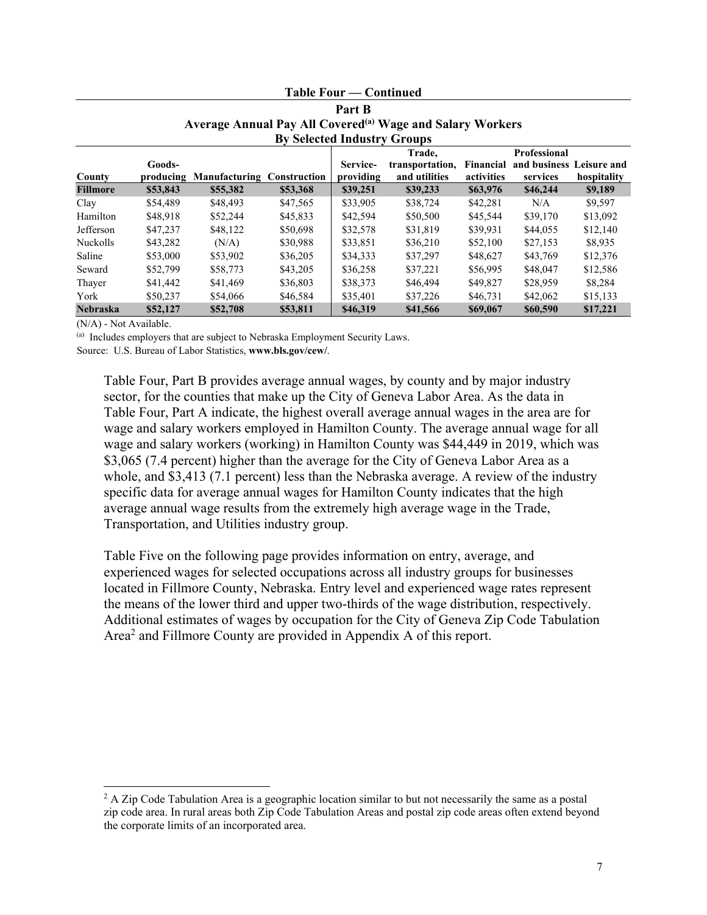|                                                                                                             | <b>Table Four — Continued</b> |                                   |          |                       |                                            |                                |                                                      |             |
|-------------------------------------------------------------------------------------------------------------|-------------------------------|-----------------------------------|----------|-----------------------|--------------------------------------------|--------------------------------|------------------------------------------------------|-------------|
|                                                                                                             | Part B                        |                                   |          |                       |                                            |                                |                                                      |             |
| Average Annual Pay All Covered <sup>(a)</sup> Wage and Salary Workers<br><b>By Selected Industry Groups</b> |                               |                                   |          |                       |                                            |                                |                                                      |             |
| County                                                                                                      | Goods-<br>producing           | <b>Manufacturing Construction</b> |          | Service-<br>providing | Trade,<br>transportation,<br>and utilities | <b>Financial</b><br>activities | Professional<br>and business Leisure and<br>services | hospitality |
| <b>Fillmore</b>                                                                                             | \$53,843                      | \$55,382                          | \$53,368 | \$39,251              | \$39,233                                   | \$63,976                       | \$46,244                                             | \$9,189     |
| Clay                                                                                                        | \$54,489                      | \$48,493                          | \$47,565 | \$33,905              | \$38,724                                   | \$42,281                       | N/A                                                  | \$9,597     |
| Hamilton                                                                                                    | \$48,918                      | \$52,244                          | \$45,833 | \$42,594              | \$50,500                                   | \$45,544                       | \$39,170                                             | \$13,092    |
| Jefferson                                                                                                   | \$47,237                      | \$48,122                          | \$50,698 | \$32,578              | \$31,819                                   | \$39,931                       | \$44,055                                             | \$12,140    |
| <b>Nuckolls</b>                                                                                             | \$43,282                      | (N/A)                             | \$30,988 | \$33,851              | \$36,210                                   | \$52,100                       | \$27,153                                             | \$8,935     |
| Saline                                                                                                      | \$53,000                      | \$53,902                          | \$36,205 | \$34,333              | \$37,297                                   | \$48,627                       | \$43,769                                             | \$12,376    |
| Seward                                                                                                      | \$52,799                      | \$58,773                          | \$43,205 | \$36,258              | \$37,221                                   | \$56,995                       | \$48,047                                             | \$12,586    |
| Thayer                                                                                                      | \$41,442                      | \$41,469                          | \$36,803 | \$38,373              | \$46,494                                   | \$49,827                       | \$28,959                                             | \$8,284     |
| York                                                                                                        | \$50,237                      | \$54,066                          | \$46,584 | \$35,401              | \$37,226                                   | \$46,731                       | \$42,062                                             | \$15,133    |
| <b>Nebraska</b>                                                                                             | \$52,127                      | \$52,708                          | \$53,811 | \$46,319              | \$41,566                                   | \$69,067                       | \$60,590                                             | \$17,221    |

#### (N/A) - Not Available.

(a) Includes employers that are subject to Nebraska Employment Security Laws.

Source: U.S. Bureau of Labor Statistics, **www.bls.gov/cew/**.

Table Four, Part B provides average annual wages, by county and by major industry sector, for the counties that make up the City of Geneva Labor Area. As the data in Table Four, Part A indicate, the highest overall average annual wages in the area are for wage and salary workers employed in Hamilton County. The average annual wage for all wage and salary workers (working) in Hamilton County was \$44,449 in 2019, which was \$3,065 (7.4 percent) higher than the average for the City of Geneva Labor Area as a whole, and \$3,413 (7.1 percent) less than the Nebraska average. A review of the industry specific data for average annual wages for Hamilton County indicates that the high average annual wage results from the extremely high average wage in the Trade, Transportation, and Utilities industry group.

Table Five on the following page provides information on entry, average, and experienced wages for selected occupations across all industry groups for businesses located in Fillmore County, Nebraska. Entry level and experienced wage rates represent the means of the lower third and upper two-thirds of the wage distribution, respectively. Additional estimates of wages by occupation for the City of Geneva Zip Code Tabulation Area<sup>2</sup> and Fillmore County are provided in Appendix A of this report.

 $2$  A Zip Code Tabulation Area is a geographic location similar to but not necessarily the same as a postal zip code area. In rural areas both Zip Code Tabulation Areas and postal zip code areas often extend beyond the corporate limits of an incorporated area.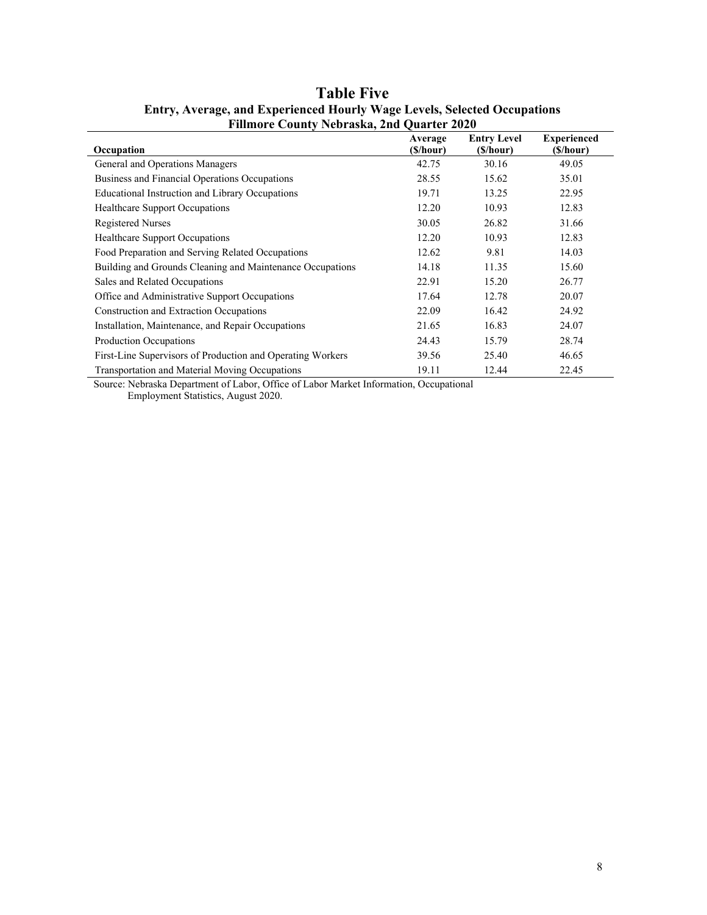| THINDIV COUNTY INDIASNA, 2014 QUATIVE 2020                 |                     |                                 |                                 |  |  |  |  |
|------------------------------------------------------------|---------------------|---------------------------------|---------------------------------|--|--|--|--|
| Occupation                                                 | Average<br>(S/hour) | <b>Entry Level</b><br>(\$/hour) | <b>Experienced</b><br>(\$/hour) |  |  |  |  |
| General and Operations Managers                            | 42.75               | 30.16                           | 49.05                           |  |  |  |  |
| Business and Financial Operations Occupations              | 28.55               | 15.62                           | 35.01                           |  |  |  |  |
| Educational Instruction and Library Occupations            | 19.71               | 13.25                           | 22.95                           |  |  |  |  |
| Healthcare Support Occupations                             | 12.20               | 10.93                           | 12.83                           |  |  |  |  |
| <b>Registered Nurses</b>                                   | 30.05               | 26.82                           | 31.66                           |  |  |  |  |
| <b>Healthcare Support Occupations</b>                      | 12.20               | 10.93                           | 12.83                           |  |  |  |  |
| Food Preparation and Serving Related Occupations           | 12.62               | 9.81                            | 14.03                           |  |  |  |  |
| Building and Grounds Cleaning and Maintenance Occupations  | 14.18               | 11.35                           | 15.60                           |  |  |  |  |
| Sales and Related Occupations                              | 22.91               | 15.20                           | 26.77                           |  |  |  |  |
| Office and Administrative Support Occupations              | 17.64               | 12.78                           | 20.07                           |  |  |  |  |
| Construction and Extraction Occupations                    | 22.09               | 16.42                           | 24.92                           |  |  |  |  |
| Installation, Maintenance, and Repair Occupations          | 21.65               | 16.83                           | 24.07                           |  |  |  |  |
| Production Occupations                                     | 24.43               | 15.79                           | 28.74                           |  |  |  |  |
| First-Line Supervisors of Production and Operating Workers | 39.56               | 25.40                           | 46.65                           |  |  |  |  |
| Transportation and Material Moving Occupations             | 19.11               | 12.44                           | 22.45                           |  |  |  |  |

## **Table Five Entry, Average, and Experienced Hourly Wage Levels, Selected Occupations Fillmore County Nebraska, 2nd Quarter 2020**

Source: Nebraska Department of Labor, Office of Labor Market Information, Occupational Employment Statistics, August 2020.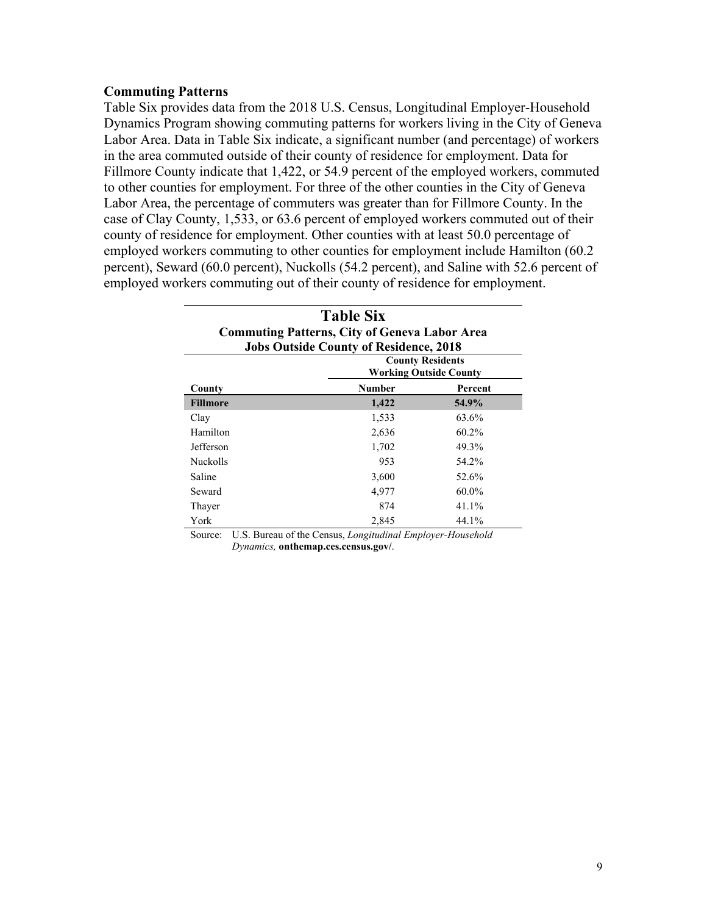#### **Commuting Patterns**

Table Six provides data from the 2018 U.S. Census, Longitudinal Employer-Household Dynamics Program showing commuting patterns for workers living in the City of Geneva Labor Area. Data in Table Six indicate, a significant number (and percentage) of workers in the area commuted outside of their county of residence for employment. Data for Fillmore County indicate that 1,422, or 54.9 percent of the employed workers, commuted to other counties for employment. For three of the other counties in the City of Geneva Labor Area, the percentage of commuters was greater than for Fillmore County. In the case of Clay County, 1,533, or 63.6 percent of employed workers commuted out of their county of residence for employment. Other counties with at least 50.0 percentage of employed workers commuting to other counties for employment include Hamilton (60.2 percent), Seward (60.0 percent), Nuckolls (54.2 percent), and Saline with 52.6 percent of employed workers commuting out of their county of residence for employment.

| <b>Table Six</b><br><b>Commuting Patterns, City of Geneva Labor Area</b><br><b>Jobs Outside County of Residence, 2018</b> |                                                          |          |  |  |  |
|---------------------------------------------------------------------------------------------------------------------------|----------------------------------------------------------|----------|--|--|--|
|                                                                                                                           | <b>County Residents</b><br><b>Working Outside County</b> |          |  |  |  |
| County                                                                                                                    | <b>Number</b>                                            | Percent  |  |  |  |
| <b>Fillmore</b>                                                                                                           | 1,422                                                    | 54.9%    |  |  |  |
| Clay                                                                                                                      | 1,533                                                    | 63.6%    |  |  |  |
| Hamilton                                                                                                                  | 2,636                                                    | $60.2\%$ |  |  |  |
| <b>Jefferson</b>                                                                                                          | 1,702                                                    | 49.3%    |  |  |  |
| <b>Nuckolls</b>                                                                                                           | 953                                                      | 54.2%    |  |  |  |
| Saline                                                                                                                    | 3,600                                                    | 52.6%    |  |  |  |
| Seward                                                                                                                    | 4.977                                                    | 60.0%    |  |  |  |
| Thayer                                                                                                                    | 874                                                      | 41.1%    |  |  |  |
| York                                                                                                                      | 2,845                                                    | 44.1%    |  |  |  |

Source: U.S. Bureau of the Census, *Longitudinal Employer-Household Dynamics,* **onthemap.ces.census.gov/**.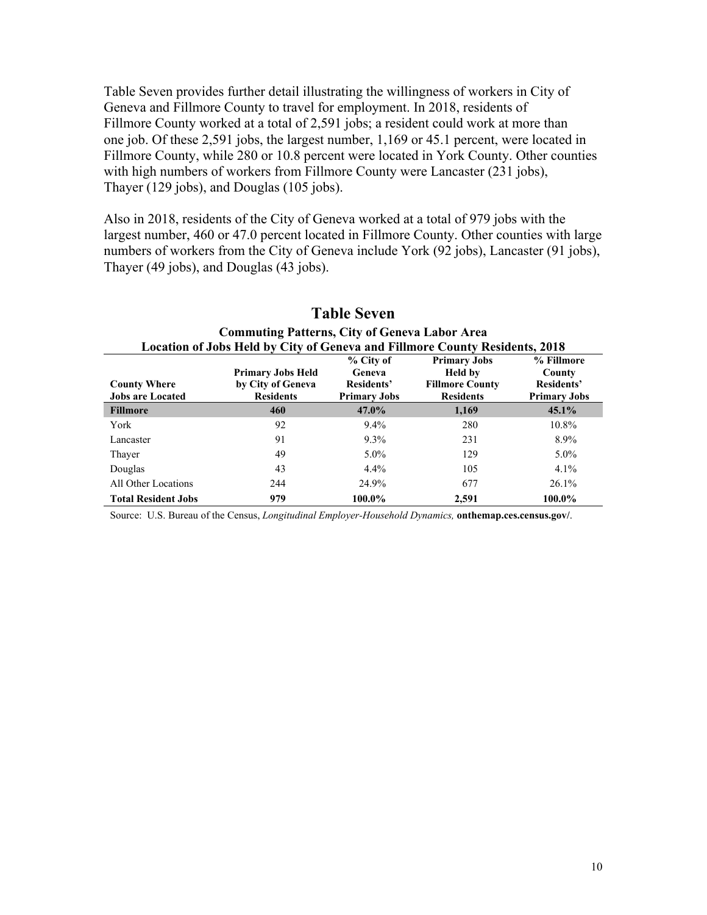Table Seven provides further detail illustrating the willingness of workers in City of Geneva and Fillmore County to travel for employment. In 2018, residents of Fillmore County worked at a total of 2,591 jobs; a resident could work at more than one job. Of these 2,591 jobs, the largest number, 1,169 or 45.1 percent, were located in Fillmore County, while 280 or 10.8 percent were located in York County. Other counties with high numbers of workers from Fillmore County were Lancaster (231 jobs), Thayer (129 jobs), and Douglas (105 jobs).

Also in 2018, residents of the City of Geneva worked at a total of 979 jobs with the largest number, 460 or 47.0 percent located in Fillmore County. Other counties with large numbers of workers from the City of Geneva include York (92 jobs), Lancaster (91 jobs), Thayer (49 jobs), and Douglas (43 jobs).

| <b>Location of Jobs Held by City of Geneva and Fillmore County Residents, 2018</b> |                                       |                     |                                            |                     |  |  |
|------------------------------------------------------------------------------------|---------------------------------------|---------------------|--------------------------------------------|---------------------|--|--|
|                                                                                    |                                       | % City of           | <b>Primary Jobs</b>                        | % Fillmore          |  |  |
|                                                                                    | <b>Primary Jobs Held</b>              | Geneva              | <b>Held by</b>                             | County              |  |  |
| <b>County Where</b><br><b>Jobs are Located</b>                                     | by City of Geneva<br><b>Residents</b> | Residents'          | <b>Fillmore County</b><br><b>Residents</b> | Residents'          |  |  |
|                                                                                    |                                       | <b>Primary Jobs</b> |                                            | <b>Primary Jobs</b> |  |  |
| <b>Fillmore</b>                                                                    | 460                                   | 47.0%               | 1,169                                      | $45.1\%$            |  |  |
| York                                                                               | 92                                    | $9.4\%$             | 280                                        | 10.8%               |  |  |
| Lancaster                                                                          | 91                                    | $9.3\%$             | 231                                        | 8.9%                |  |  |
| Thayer                                                                             | 49                                    | $5.0\%$             | 129                                        | $5.0\%$             |  |  |
| Douglas                                                                            | 43                                    | $4.4\%$             | 105                                        | $4.1\%$             |  |  |
| All Other Locations                                                                | 244                                   | 24.9%               | 677                                        | $26.1\%$            |  |  |
| <b>Total Resident Jobs</b>                                                         | 979                                   | 100.0%              | 2,591                                      | 100.0%              |  |  |

# **Table Seven Commuting Patterns, City of Geneva Labor Area**

Source: U.S. Bureau of the Census, *Longitudinal Employer-Household Dynamics,* **onthemap.ces.census.gov/**.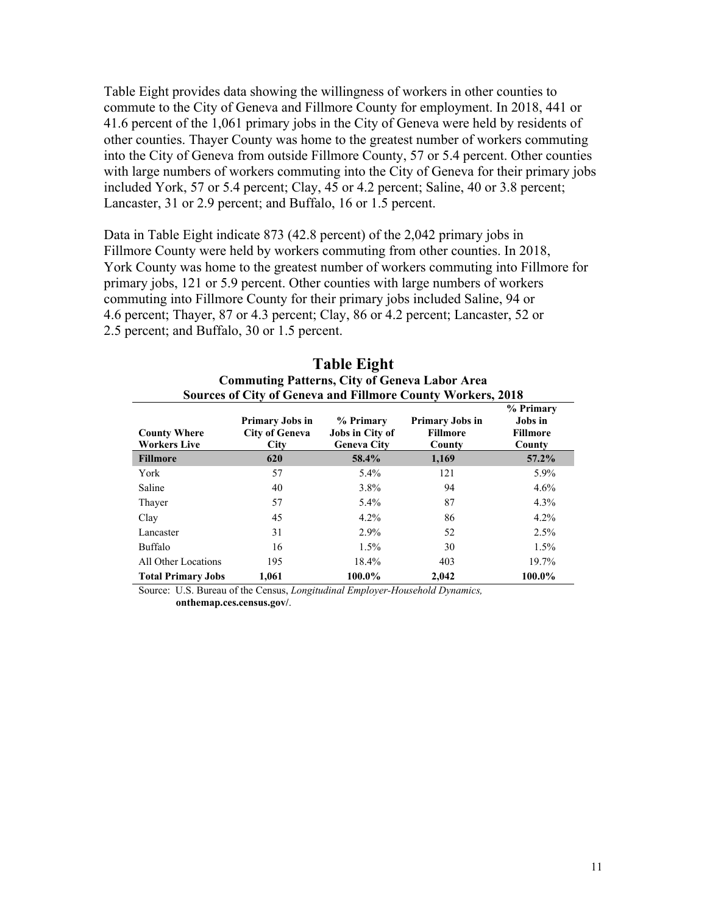Table Eight provides data showing the willingness of workers in other counties to commute to the City of Geneva and Fillmore County for employment. In 2018, 441 or 41.6 percent of the 1,061 primary jobs in the City of Geneva were held by residents of other counties. Thayer County was home to the greatest number of workers commuting into the City of Geneva from outside Fillmore County, 57 or 5.4 percent. Other counties with large numbers of workers commuting into the City of Geneva for their primary jobs included York, 57 or 5.4 percent; Clay, 45 or 4.2 percent; Saline, 40 or 3.8 percent; Lancaster, 31 or 2.9 percent; and Buffalo, 16 or 1.5 percent.

Data in Table Eight indicate 873 (42.8 percent) of the 2,042 primary jobs in Fillmore County were held by workers commuting from other counties. In 2018, York County was home to the greatest number of workers commuting into Fillmore for primary jobs, 121 or 5.9 percent. Other counties with large numbers of workers commuting into Fillmore County for their primary jobs included Saline, 94 or 4.6 percent; Thayer, 87 or 4.3 percent; Clay, 86 or 4.2 percent; Lancaster, 52 or 2.5 percent; and Buffalo, 30 or 1.5 percent.

| <b>Sources of City of Geneva and Fillmore County Workers, 2018</b> |                                                         |                                                    |                                                     |                                                   |  |
|--------------------------------------------------------------------|---------------------------------------------------------|----------------------------------------------------|-----------------------------------------------------|---------------------------------------------------|--|
| <b>County Where</b><br><b>Workers Live</b>                         | <b>Primary Jobs in</b><br><b>City of Geneva</b><br>City | % Primary<br>Jobs in City of<br><b>Geneva City</b> | <b>Primary Jobs in</b><br><b>Fillmore</b><br>County | % Primary<br>Jobs in<br><b>Fillmore</b><br>County |  |
| <b>Fillmore</b>                                                    | 620                                                     | 58.4%                                              | 1,169                                               | $57.2\%$                                          |  |
| York                                                               | 57                                                      | $5.4\%$                                            | 121                                                 | 5.9%                                              |  |
| Saline                                                             | 40                                                      | 3.8%                                               | 94                                                  | $4.6\%$                                           |  |
| Thayer                                                             | 57                                                      | 5.4%                                               | 87                                                  | 4.3%                                              |  |
| Clay                                                               | 45                                                      | $4.2\%$                                            | 86                                                  | $4.2\%$                                           |  |
| Lancaster                                                          | 31                                                      | 2.9%                                               | 52                                                  | 2.5%                                              |  |
| Buffalo                                                            | 16                                                      | $1.5\%$                                            | 30                                                  | 1.5%                                              |  |
| All Other Locations                                                | 195                                                     | 18.4%                                              | 403                                                 | 19.7%                                             |  |
| <b>Total Primary Jobs</b>                                          | 1.061                                                   | 100.0%                                             | 2.042                                               | 100.0%                                            |  |

**Table Eight Commuting Patterns, City of Geneva Labor Area** 

Source: U.S. Bureau of the Census, *Longitudinal Employer-Household Dynamics,*  **onthemap.ces.census.gov/**.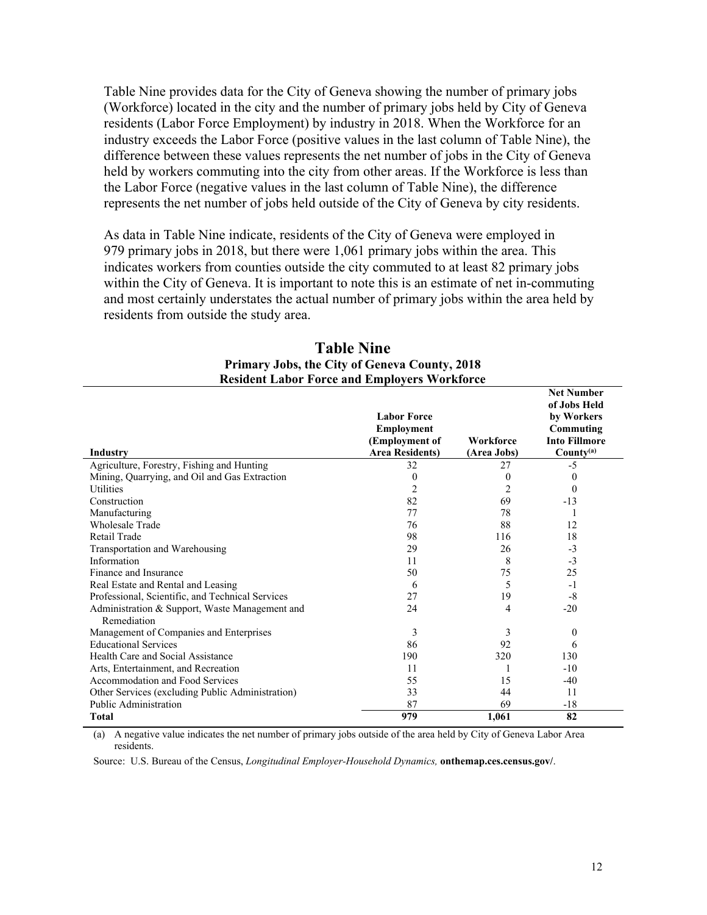Table Nine provides data for the City of Geneva showing the number of primary jobs (Workforce) located in the city and the number of primary jobs held by City of Geneva residents (Labor Force Employment) by industry in 2018. When the Workforce for an industry exceeds the Labor Force (positive values in the last column of Table Nine), the difference between these values represents the net number of jobs in the City of Geneva held by workers commuting into the city from other areas. If the Workforce is less than the Labor Force (negative values in the last column of Table Nine), the difference represents the net number of jobs held outside of the City of Geneva by city residents.

As data in Table Nine indicate, residents of the City of Geneva were employed in 979 primary jobs in 2018, but there were 1,061 primary jobs within the area. This indicates workers from counties outside the city commuted to at least 82 primary jobs within the City of Geneva. It is important to note this is an estimate of net in-commuting and most certainly understates the actual number of primary jobs within the area held by residents from outside the study area.

|                                                  | <b>Labor Force</b><br><b>Employment</b><br>(Employment of | Workforce   | <b>Net Number</b><br>of Jobs Held<br>by Workers<br>Commuting<br><b>Into Fillmore</b> |
|--------------------------------------------------|-----------------------------------------------------------|-------------|--------------------------------------------------------------------------------------|
| Industry                                         | <b>Area Residents)</b>                                    | (Area Jobs) | $County^{(a)}$                                                                       |
| Agriculture, Forestry, Fishing and Hunting       | 32                                                        | 27          | $-5$                                                                                 |
| Mining, Quarrying, and Oil and Gas Extraction    | 0                                                         | $\theta$    | $\theta$                                                                             |
| <b>Utilities</b>                                 | 2                                                         | 2           | $\theta$                                                                             |
| Construction                                     | 82                                                        | 69          | $-13$                                                                                |
| Manufacturing                                    | 77                                                        | 78          |                                                                                      |
| <b>Wholesale Trade</b>                           | 76                                                        | 88          | 12                                                                                   |
| Retail Trade                                     | 98                                                        | 116         | 18                                                                                   |
| Transportation and Warehousing                   | 29                                                        | 26          | $-3$                                                                                 |
| Information                                      | 11                                                        | 8           | $-3$                                                                                 |
| Finance and Insurance                            | 50                                                        | 75          | 25                                                                                   |
| Real Estate and Rental and Leasing               | 6                                                         | 5           | $-1$                                                                                 |
| Professional, Scientific, and Technical Services | 27                                                        | 19          | $-8$                                                                                 |
| Administration & Support, Waste Management and   | 24                                                        | 4           | $-20$                                                                                |
| Remediation                                      |                                                           |             |                                                                                      |
| Management of Companies and Enterprises          | 3                                                         | 3           | 0                                                                                    |
| <b>Educational Services</b>                      | 86                                                        | 92          | 6                                                                                    |
| Health Care and Social Assistance                | 190                                                       | 320         | 130                                                                                  |
| Arts, Entertainment, and Recreation              | 11                                                        |             | $-10$                                                                                |
| Accommodation and Food Services                  | 55                                                        | 15          | $-40$                                                                                |
| Other Services (excluding Public Administration) | 33                                                        | 44          | 11                                                                                   |
| Public Administration                            | 87                                                        | 69          | $-18$                                                                                |
| Total                                            | 979                                                       | 1,061       | 82                                                                                   |

**Table Nine Primary Jobs, the City of Geneva County, 2018 Resident Labor Force and Employers Workforce** 

(a) A negative value indicates the net number of primary jobs outside of the area held by City of Geneva Labor Area residents.

Source: U.S. Bureau of the Census, *Longitudinal Employer-Household Dynamics,* **onthemap.ces.census.gov/**.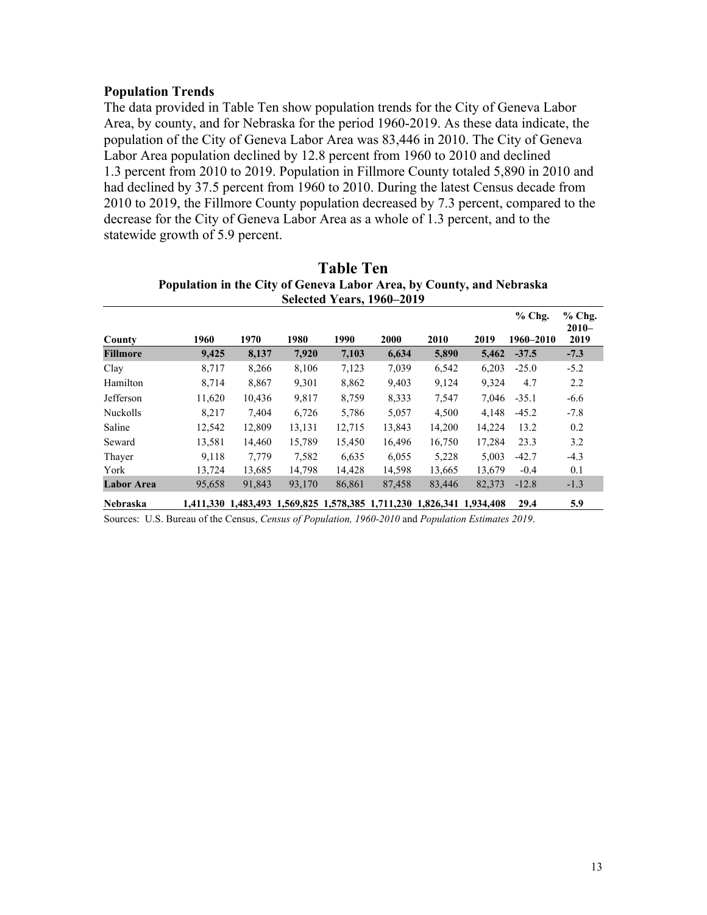### **Population Trends**

The data provided in Table Ten show population trends for the City of Geneva Labor Area, by county, and for Nebraska for the period 1960-2019. As these data indicate, the population of the City of Geneva Labor Area was 83,446 in 2010. The City of Geneva Labor Area population declined by 12.8 percent from 1960 to 2010 and declined 1.3 percent from 2010 to 2019. Population in Fillmore County totaled 5,890 in 2010 and had declined by 37.5 percent from 1960 to 2010. During the latest Census decade from 2010 to 2019, the Fillmore County population decreased by 7.3 percent, compared to the decrease for the City of Geneva Labor Area as a whole of 1.3 percent, and to the statewide growth of 5.9 percent.

|                   |        |                                                                       |        |        |        |        |        | $%$ Chg.  | $%$ Chg.        |
|-------------------|--------|-----------------------------------------------------------------------|--------|--------|--------|--------|--------|-----------|-----------------|
| County            | 1960   | 1970                                                                  | 1980   | 1990   | 2000   | 2010   | 2019   | 1960-2010 | $2010-$<br>2019 |
| <b>Fillmore</b>   | 9,425  | 8,137                                                                 | 7,920  | 7,103  | 6,634  | 5,890  | 5,462  | $-37.5$   | $-7.3$          |
| Clay              | 8.717  | 8,266                                                                 | 8,106  | 7,123  | 7,039  | 6,542  | 6.203  | $-25.0$   | $-5.2$          |
| Hamilton          | 8,714  | 8,867                                                                 | 9,301  | 8,862  | 9,403  | 9,124  | 9.324  | 4.7       | 2.2             |
| Jefferson         | 11,620 | 10,436                                                                | 9,817  | 8,759  | 8,333  | 7,547  | 7.046  | $-35.1$   | $-6.6$          |
| Nuckolls          | 8.217  | 7,404                                                                 | 6,726  | 5,786  | 5,057  | 4,500  | 4.148  | $-45.2$   | $-7.8$          |
| Saline            | 12,542 | 12.809                                                                | 13.131 | 12,715 | 13,843 | 14,200 | 14.224 | 13.2      | 0.2             |
| Seward            | 13,581 | 14,460                                                                | 15.789 | 15,450 | 16.496 | 16,750 | 17,284 | 23.3      | 3.2             |
| Thayer            | 9.118  | 7.779                                                                 | 7.582  | 6.635  | 6.055  | 5,228  | 5.003  | $-42.7$   | $-4.3$          |
| York              | 13.724 | 13.685                                                                | 14.798 | 14.428 | 14.598 | 13.665 | 13.679 | $-0.4$    | 0.1             |
| <b>Labor Area</b> | 95,658 | 91,843                                                                | 93,170 | 86,861 | 87,458 | 83,446 | 82,373 | $-12.8$   | $-1.3$          |
| Nebraska          |        | 1,411,330 1,483,493 1,569,825 1,578,385 1,711,230 1,826,341 1,934,408 |        |        |        |        |        | 29.4      | 5.9             |

## **Table Ten Population in the City of Geneva Labor Area, by County, and Nebraska Selected Years, 1960–2019**

Sources: U.S. Bureau of the Census, *Census of Population, 1960-2010* and *Population Estimates 2019*.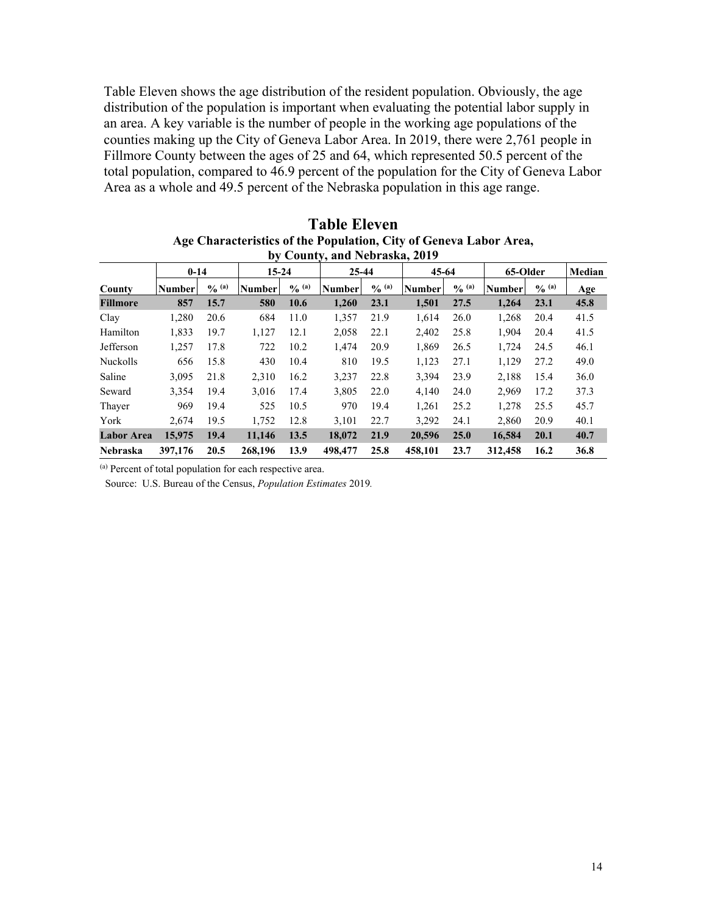Table Eleven shows the age distribution of the resident population. Obviously, the age distribution of the population is important when evaluating the potential labor supply in an area. A key variable is the number of people in the working age populations of the counties making up the City of Geneva Labor Area. In 2019, there were 2,761 people in Fillmore County between the ages of 25 and 64, which represented 50.5 percent of the total population, compared to 46.9 percent of the population for the City of Geneva Labor Area as a whole and 49.5 percent of the Nebraska population in this age range.

| $\mathbf{v}$ $\mathbf{v}$ country, and included as $\mathbf{v}$ as $\mathbf{v}$ |         |             |               |                    |               |             |               |             |               |                   |      |
|---------------------------------------------------------------------------------|---------|-------------|---------------|--------------------|---------------|-------------|---------------|-------------|---------------|-------------------|------|
| $0 - 14$                                                                        |         |             | $15 - 24$     |                    | 25-44         |             | 45-64         |             | 65-Older      |                   |      |
| County                                                                          | Number  | $O_{0}$ (a) | <b>Number</b> | $\frac{6}{10}$ (a) | <b>Number</b> | $O_{0}$ (a) | <b>Number</b> | $O_{0}$ (a) | <b>Number</b> | $\frac{0}{0}$ (a) | Age  |
| <b>Fillmore</b>                                                                 | 857     | 15.7        | 580           | 10.6               | 1.260         | 23.1        | 1,501         | 27.5        | 1.264         | 23.1              | 45.8 |
| Clay                                                                            | 1.280   | 20.6        | 684           | 11.0               | 1,357         | 21.9        | 1.614         | 26.0        | 1,268         | 20.4              | 41.5 |
| Hamilton                                                                        | 1,833   | 19.7        | 1,127         | 12.1               | 2,058         | 22.1        | 2,402         | 25.8        | 1,904         | 20.4              | 41.5 |
| Jefferson                                                                       | 1,257   | 17.8        | 722           | 10.2               | 1.474         | 20.9        | 1,869         | 26.5        | 1,724         | 24.5              | 46.1 |
| Nuckolls                                                                        | 656     | 15.8        | 430           | 10.4               | 810           | 19.5        | 1.123         | 27.1        | 1.129         | 27.2              | 49.0 |
| Saline                                                                          | 3.095   | 21.8        | 2.310         | 16.2               | 3,237         | 22.8        | 3.394         | 23.9        | 2.188         | 15.4              | 36.0 |
| Seward                                                                          | 3.354   | 19.4        | 3.016         | 17.4               | 3.805         | 22.0        | 4.140         | 24.0        | 2.969         | 17.2              | 37.3 |
| Thayer                                                                          | 969     | 19.4        | 525           | 10.5               | 970           | 19.4        | 1,261         | 25.2        | 1,278         | 25.5              | 45.7 |
| York                                                                            | 2.674   | 19.5        | 1.752         | 12.8               | 3.101         | 22.7        | 3.292         | 24.1        | 2.860         | 20.9              | 40.1 |
| <b>Labor Area</b>                                                               | 15,975  | 19.4        | 11,146        | 13.5               | 18,072        | 21.9        | 20,596        | 25.0        | 16,584        | 20.1              | 40.7 |
| <b>Nebraska</b>                                                                 | 397,176 | 20.5        | 268,196       | 13.9               | 498,477       | 25.8        | 458.101       | 23.7        | 312,458       | 16.2              | 36.8 |

**Table Eleven Age Characteristics of the Population, City of Geneva Labor Area, by County, and Nebraska, 2019** 

(a) Percent of total population for each respective area.

Source: U.S. Bureau of the Census, *Population Estimates* 2019*.*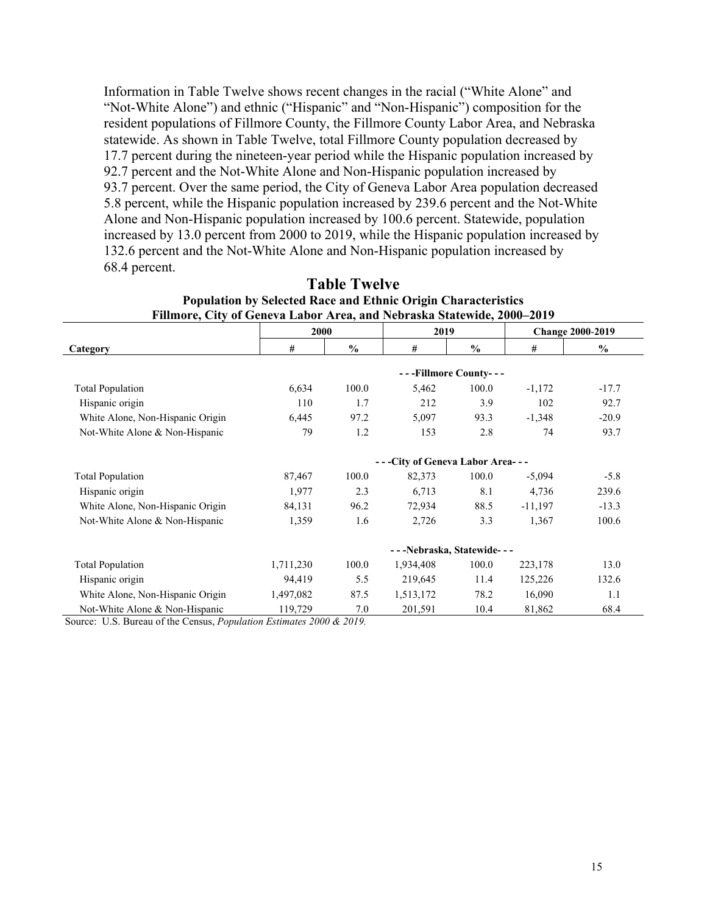Information in Table Twelve shows recent changes in the racial ("White Alone" and "Not-White Alone") and ethnic ("Hispanic" and "Non-Hispanic") composition for the resident populations of Fillmore County, the Fillmore County Labor Area, and Nebraska statewide. As shown in Table Twelve, total Fillmore County population decreased by 17.7 percent during the nineteen-year period while the Hispanic population increased by 92.7 percent and the Not-White Alone and Non-Hispanic population increased by 93.7 percent. Over the same period, the City of Geneva Labor Area population decreased 5.8 percent, while the Hispanic population increased by 239.6 percent and the Not-White Alone and Non-Hispanic population increased by 100.6 percent. Statewide, population increased by 13.0 percent from 2000 to 2019, while the Hispanic population increased by 132.6 percent and the Not-White Alone and Non-Hispanic population increased by 68.4 percent.

| FINIMOFE, CIty of Geneva Ladof Afea, and Nedfaska Statewide, 2000–2019 |           |               |                                 |                       |                         |               |  |
|------------------------------------------------------------------------|-----------|---------------|---------------------------------|-----------------------|-------------------------|---------------|--|
|                                                                        | 2000      |               | 2019                            |                       | <b>Change 2000-2019</b> |               |  |
| Category                                                               | #         | $\frac{0}{0}$ | #                               | $\frac{0}{0}$         | #                       | $\frac{0}{0}$ |  |
|                                                                        |           |               |                                 | ---Fillmore County--- |                         |               |  |
| <b>Total Population</b>                                                | 6,634     | 100.0         | 5,462                           | 100.0                 | $-1,172$                | $-17.7$       |  |
| Hispanic origin                                                        | 110       | 1.7           | 212                             | 3.9                   | 102                     | 92.7          |  |
| White Alone, Non-Hispanic Origin                                       | 6,445     | 97.2          | 5,097                           | 93.3                  | $-1,348$                | $-20.9$       |  |
| Not-White Alone & Non-Hispanic                                         | 79        | 1.2           | 153                             | 2.8                   | 74                      | 93.7          |  |
|                                                                        |           |               | ---City of Geneva Labor Area--- |                       |                         |               |  |
| <b>Total Population</b>                                                | 87,467    | 100.0         | 82,373                          | 100.0                 | $-5,094$                | $-5.8$        |  |
| Hispanic origin                                                        | 1,977     | 2.3           | 6,713                           | 8.1                   | 4,736                   | 239.6         |  |
| White Alone, Non-Hispanic Origin                                       | 84,131    | 96.2          | 72,934                          | 88.5                  | $-11,197$               | $-13.3$       |  |
| Not-White Alone & Non-Hispanic                                         | 1,359     | 1.6           | 2,726                           | 3.3                   | 1,367                   | 100.6         |  |
|                                                                        |           |               | ---Nebraska, Statewide---       |                       |                         |               |  |
| <b>Total Population</b>                                                | 1,711,230 | 100.0         | 1,934,408                       | 100.0                 | 223,178                 | 13.0          |  |
| Hispanic origin                                                        | 94,419    | 5.5           | 219,645                         | 11.4                  | 125,226                 | 132.6         |  |
| White Alone, Non-Hispanic Origin                                       | 1,497,082 | 87.5          | 1,513,172                       | 78.2                  | 16,090                  | 1.1           |  |
| Not-White Alone & Non-Hispanic                                         | 119,729   | 7.0           | 201,591                         | 10.4                  | 81,862                  | 68.4          |  |

#### **Table Twelve Population by Selected Race and Ethnic Origin Characteristics Fillmore, City of Geneva Labor Area, and Nebraska Statewide, 2000–2019**

Source: U.S. Bureau of the Census, *Population Estimates 2000 & 2019.*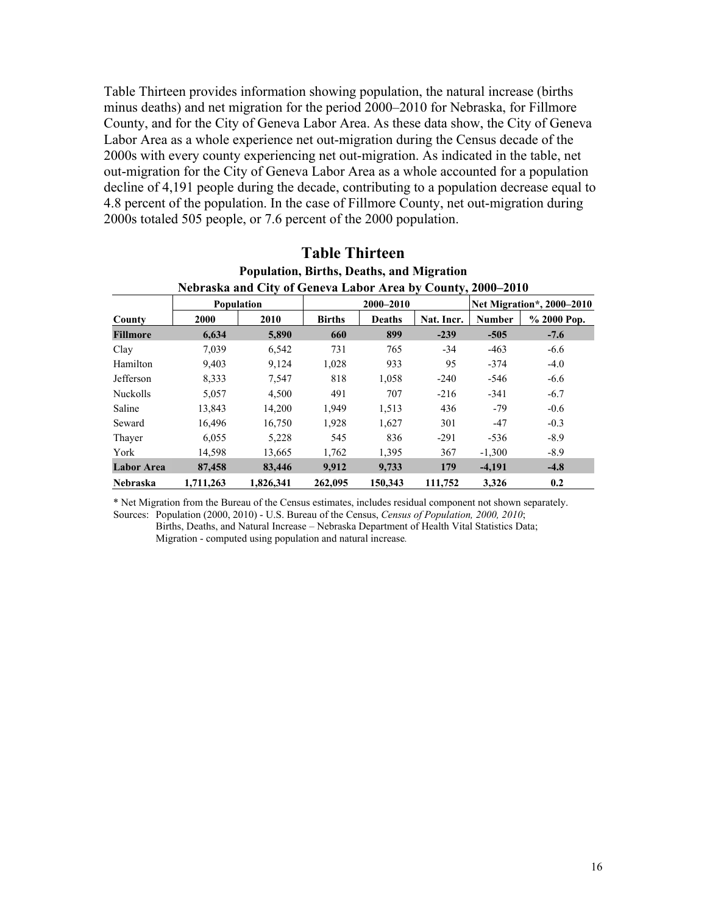Table Thirteen provides information showing population, the natural increase (births minus deaths) and net migration for the period 2000–2010 for Nebraska, for Fillmore County, and for the City of Geneva Labor Area. As these data show, the City of Geneva Labor Area as a whole experience net out-migration during the Census decade of the 2000s with every county experiencing net out-migration. As indicated in the table, net out-migration for the City of Geneva Labor Area as a whole accounted for a population decline of 4,191 people during the decade, contributing to a population decrease equal to 4.8 percent of the population. In the case of Fillmore County, net out-migration during 2000s totaled 505 people, or 7.6 percent of the 2000 population.

|                   | Population, Births, Deaths, and Migration |                                                             |               |               |                           |               |                |  |  |  |  |  |
|-------------------|-------------------------------------------|-------------------------------------------------------------|---------------|---------------|---------------------------|---------------|----------------|--|--|--|--|--|
|                   |                                           | Nebraska and City of Geneva Labor Area by County, 2000–2010 |               |               |                           |               |                |  |  |  |  |  |
|                   |                                           | Population                                                  |               | 2000-2010     | Net Migration*, 2000-2010 |               |                |  |  |  |  |  |
| County            | 2000                                      | 2010                                                        | <b>Births</b> | <b>Deaths</b> | Nat. Incr.                | <b>Number</b> | $\%$ 2000 Pop. |  |  |  |  |  |
| <b>Fillmore</b>   | 6,634                                     | 5,890                                                       | 660           | 899           | $-239$                    | $-505$        | $-7.6$         |  |  |  |  |  |
| Clay              | 7,039                                     | 6,542                                                       | 731           | 765           | $-34$                     | $-463$        | $-6.6$         |  |  |  |  |  |
| Hamilton          | 9,403                                     | 9.124                                                       | 1,028         | 933           | 95                        | $-374$        | $-4.0$         |  |  |  |  |  |
| Jefferson         | 8,333                                     | 7,547                                                       | 818           | 1,058         | $-240$                    | $-546$        | $-6.6$         |  |  |  |  |  |
| Nuckolls          | 5,057                                     | 4,500                                                       | 491           | 707           | $-216$                    | $-341$        | $-6.7$         |  |  |  |  |  |
| Saline            | 13,843                                    | 14,200                                                      | 1,949         | 1,513         | 436                       | $-79$         | $-0.6$         |  |  |  |  |  |
| Seward            | 16,496                                    | 16,750                                                      | 1,928         | 1,627         | 301                       | $-47$         | $-0.3$         |  |  |  |  |  |
| Thayer            | 6,055                                     | 5,228                                                       | 545           | 836           | $-291$                    | $-536$        | $-8.9$         |  |  |  |  |  |
| York              | 14,598                                    | 13,665                                                      | 1.762         | 1,395         | 367                       | $-1,300$      | $-8.9$         |  |  |  |  |  |
| <b>Labor Area</b> | 87,458                                    | 83,446                                                      | 9,912         | 9,733         | 179                       | $-4,191$      | $-4.8$         |  |  |  |  |  |
| Nebraska          | 1,711,263                                 | 1.826.341                                                   | 262,095       | 150,343       | 111,752                   | 3,326         | 0.2            |  |  |  |  |  |

#### **Table Thirteen Population, Births, Deaths, and Migration**

\* Net Migration from the Bureau of the Census estimates, includes residual component not shown separately. Sources: Population (2000, 2010) - U.S. Bureau of the Census, *Census of Population, 2000, 2010*;

 Births, Deaths, and Natural Increase – Nebraska Department of Health Vital Statistics Data; Migration - computed using population and natural increase*.*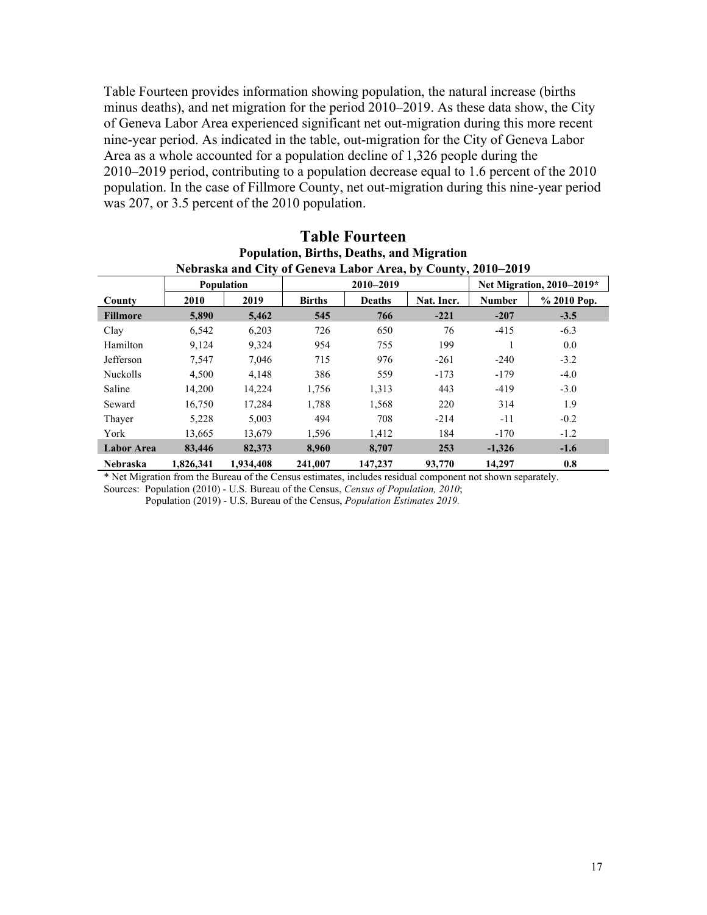Table Fourteen provides information showing population, the natural increase (births minus deaths), and net migration for the period 2010–2019. As these data show, the City of Geneva Labor Area experienced significant net out-migration during this more recent nine-year period. As indicated in the table, out-migration for the City of Geneva Labor Area as a whole accounted for a population decline of 1,326 people during the 2010–2019 period, contributing to a population decrease equal to 1.6 percent of the 2010 population. In the case of Fillmore County, net out-migration during this nine-year period was 207, or 3.5 percent of the 2010 population.

| Nebraska and City of Geneva Labor Area, by County, 2010–2019 |           |            |               |               |            |                           |             |  |  |  |  |
|--------------------------------------------------------------|-----------|------------|---------------|---------------|------------|---------------------------|-------------|--|--|--|--|
|                                                              |           | Population |               | 2010-2019     |            | Net Migration, 2010-2019* |             |  |  |  |  |
| County                                                       | 2010      | 2019       | <b>Births</b> | <b>Deaths</b> | Nat. Incr. | <b>Number</b>             | % 2010 Pop. |  |  |  |  |
| <b>Fillmore</b>                                              | 5,890     | 5,462      | 545           | 766           | $-221$     | $-207$                    | $-3.5$      |  |  |  |  |
| Clay                                                         | 6,542     | 6,203      | 726           | 650           | 76         | $-415$                    | $-6.3$      |  |  |  |  |
| Hamilton                                                     | 9.124     | 9,324      | 954           | 755           | 199        | 1                         | 0.0         |  |  |  |  |
| Jefferson                                                    | 7,547     | 7,046      | 715           | 976           | $-261$     | $-240$                    | $-3.2$      |  |  |  |  |
| Nuckolls                                                     | 4,500     | 4.148      | 386           | 559           | $-173$     | $-179$                    | $-4.0$      |  |  |  |  |
| Saline                                                       | 14,200    | 14,224     | 1,756         | 1,313         | 443        | $-419$                    | $-3.0$      |  |  |  |  |
| Seward                                                       | 16,750    | 17.284     | 1,788         | 1,568         | 220        | 314                       | 1.9         |  |  |  |  |
| Thayer                                                       | 5,228     | 5.003      | 494           | 708           | $-214$     | $-11$                     | $-0.2$      |  |  |  |  |
| York                                                         | 13,665    | 13,679     | 1,596         | 1,412         | 184        | $-170$                    | $-1.2$      |  |  |  |  |
| <b>Labor Area</b>                                            | 83,446    | 82,373     | 8.960         | 8,707         | 253        | $-1.326$                  | $-1.6$      |  |  |  |  |
| <b>Nebraska</b>                                              | 1.826.341 | 1,934,408  | 241,007       | 147,237       | 93,770     | 14,297                    | 0.8         |  |  |  |  |

# **Table Fourteen Population, Births, Deaths, and Migration**

\* Net Migration from the Bureau of the Census estimates, includes residual component not shown separately. Sources: Population (2010) - U.S. Bureau of the Census, *Census of Population, 2010*;

Population (2019) - U.S. Bureau of the Census, *Population Estimates 2019.*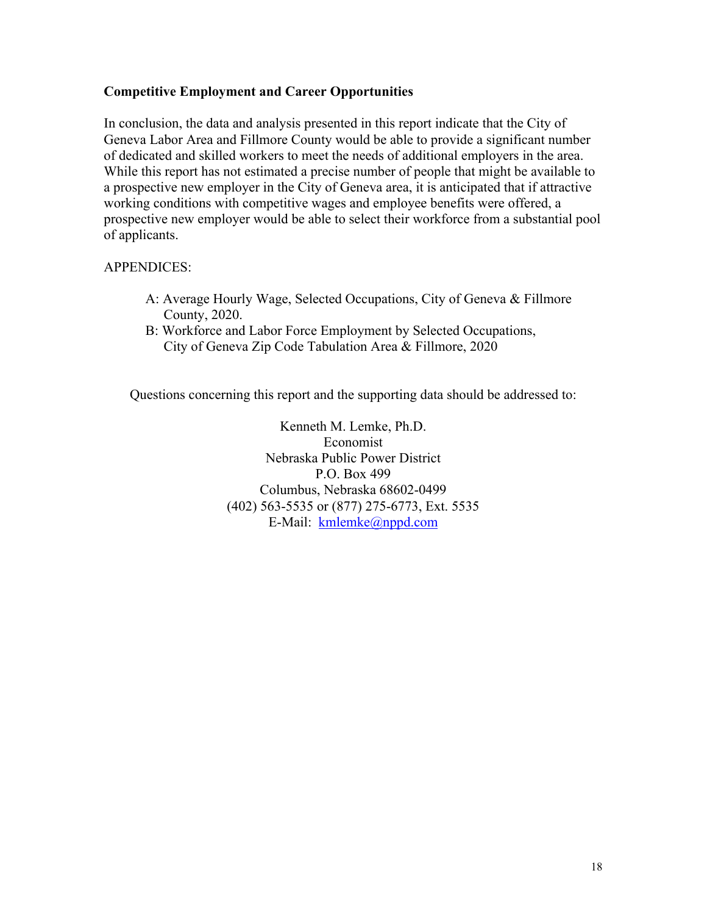## **Competitive Employment and Career Opportunities**

In conclusion, the data and analysis presented in this report indicate that the City of Geneva Labor Area and Fillmore County would be able to provide a significant number of dedicated and skilled workers to meet the needs of additional employers in the area. While this report has not estimated a precise number of people that might be available to a prospective new employer in the City of Geneva area, it is anticipated that if attractive working conditions with competitive wages and employee benefits were offered, a prospective new employer would be able to select their workforce from a substantial pool of applicants.

### APPENDICES:

- A: Average Hourly Wage, Selected Occupations, City of Geneva & Fillmore County, 2020.
- B: Workforce and Labor Force Employment by Selected Occupations, City of Geneva Zip Code Tabulation Area & Fillmore, 2020

Questions concerning this report and the supporting data should be addressed to:

Kenneth M. Lemke, Ph.D. Economist Nebraska Public Power District P.O. Box 499 Columbus, Nebraska 68602-0499 (402) 563-5535 or (877) 275-6773, Ext. 5535 E-Mail: kmlemke@nppd.com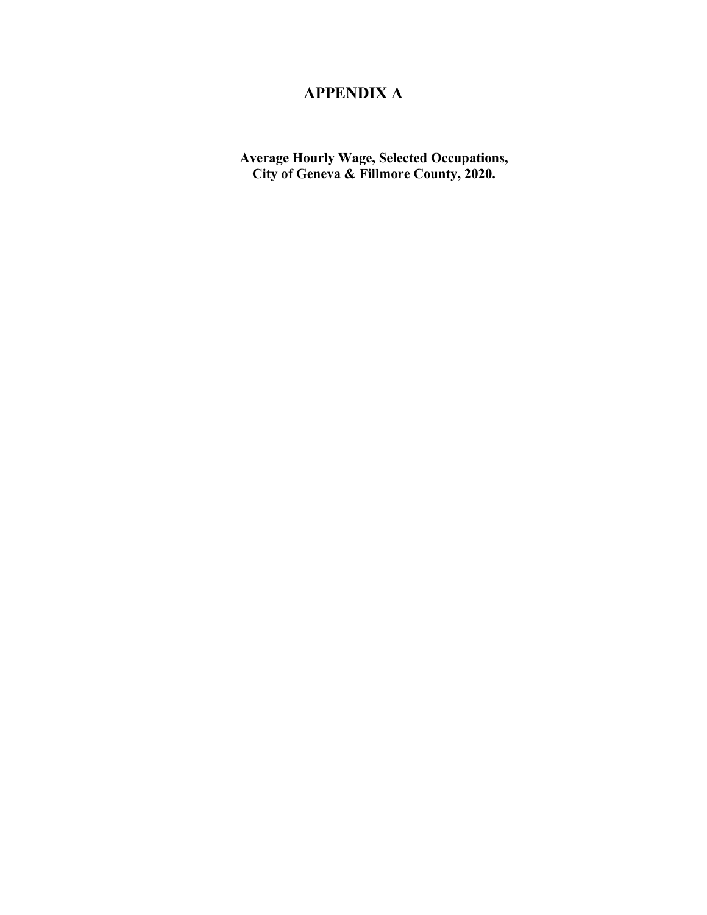# **APPENDIX A**

**Average Hourly Wage, Selected Occupations, City of Geneva & Fillmore County, 2020.**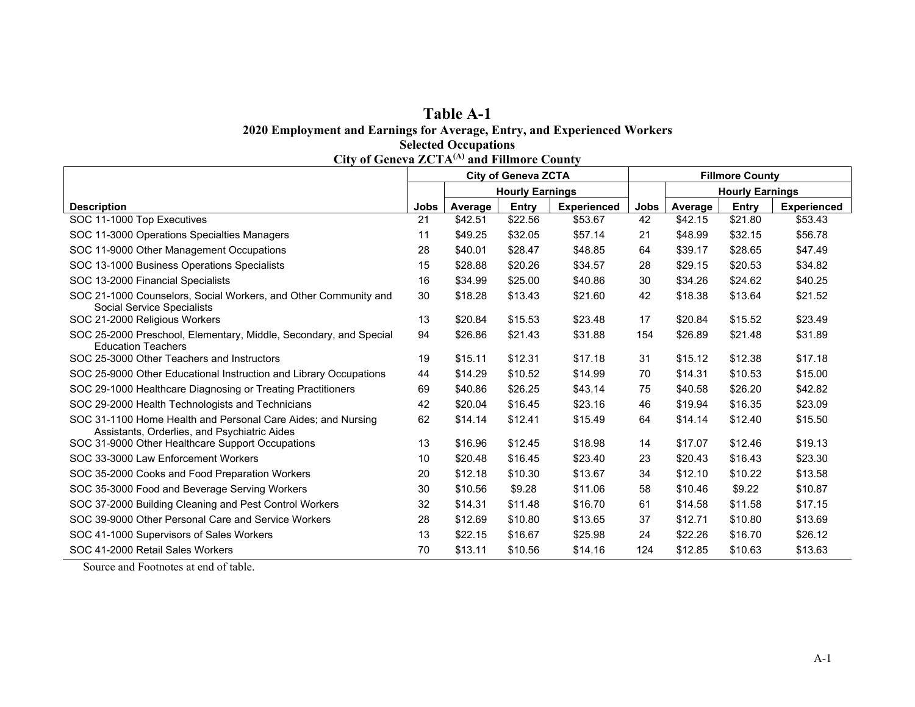#### **Table A-1 2020 Employment and Earnings for Average, Entry, and Experienced Workers Selected Occupations**

| City of Geneva $ZC1A^{(1)}$ and Fillmore County                                                              |                            |         |         |                    |                        |                        |         |                    |  |  |
|--------------------------------------------------------------------------------------------------------------|----------------------------|---------|---------|--------------------|------------------------|------------------------|---------|--------------------|--|--|
|                                                                                                              | <b>City of Geneva ZCTA</b> |         |         |                    |                        | <b>Fillmore County</b> |         |                    |  |  |
|                                                                                                              | <b>Hourly Earnings</b>     |         |         |                    | <b>Hourly Earnings</b> |                        |         |                    |  |  |
| <b>Description</b>                                                                                           | Jobs                       | Average | Entry   | <b>Experienced</b> | <b>Jobs</b>            | Average                | Entry   | <b>Experienced</b> |  |  |
| SOC 11-1000 Top Executives                                                                                   | 21                         | \$42.51 | \$22.56 | \$53.67            | 42                     | \$42.15                | \$21.80 | \$53.43            |  |  |
| SOC 11-3000 Operations Specialties Managers                                                                  | 11                         | \$49.25 | \$32.05 | \$57.14            | 21                     | \$48.99                | \$32.15 | \$56.78            |  |  |
| SOC 11-9000 Other Management Occupations                                                                     | 28                         | \$40.01 | \$28.47 | \$48.85            | 64                     | \$39.17                | \$28.65 | \$47.49            |  |  |
| SOC 13-1000 Business Operations Specialists                                                                  | 15                         | \$28.88 | \$20.26 | \$34.57            | 28                     | \$29.15                | \$20.53 | \$34.82            |  |  |
| SOC 13-2000 Financial Specialists                                                                            | 16                         | \$34.99 | \$25.00 | \$40.86            | 30                     | \$34.26                | \$24.62 | \$40.25            |  |  |
| SOC 21-1000 Counselors, Social Workers, and Other Community and<br>Social Service Specialists                | 30                         | \$18.28 | \$13.43 | \$21.60            | 42                     | \$18.38                | \$13.64 | \$21.52            |  |  |
| SOC 21-2000 Religious Workers                                                                                | 13                         | \$20.84 | \$15.53 | \$23.48            | 17                     | \$20.84                | \$15.52 | \$23.49            |  |  |
| SOC 25-2000 Preschool, Elementary, Middle, Secondary, and Special<br><b>Education Teachers</b>               | 94                         | \$26.86 | \$21.43 | \$31.88            | 154                    | \$26.89                | \$21.48 | \$31.89            |  |  |
| SOC 25-3000 Other Teachers and Instructors                                                                   | 19                         | \$15.11 | \$12.31 | \$17.18            | 31                     | \$15.12                | \$12.38 | \$17.18            |  |  |
| SOC 25-9000 Other Educational Instruction and Library Occupations                                            | 44                         | \$14.29 | \$10.52 | \$14.99            | 70                     | \$14.31                | \$10.53 | \$15.00            |  |  |
| SOC 29-1000 Healthcare Diagnosing or Treating Practitioners                                                  | 69                         | \$40.86 | \$26.25 | \$43.14            | 75                     | \$40.58                | \$26.20 | \$42.82            |  |  |
| SOC 29-2000 Health Technologists and Technicians                                                             | 42                         | \$20.04 | \$16.45 | \$23.16            | 46                     | \$19.94                | \$16.35 | \$23.09            |  |  |
| SOC 31-1100 Home Health and Personal Care Aides; and Nursing<br>Assistants, Orderlies, and Psychiatric Aides | 62                         | \$14.14 | \$12.41 | \$15.49            | 64                     | \$14.14                | \$12.40 | \$15.50            |  |  |
| SOC 31-9000 Other Healthcare Support Occupations                                                             | 13                         | \$16.96 | \$12.45 | \$18.98            | 14                     | \$17.07                | \$12.46 | \$19.13            |  |  |
| SOC 33-3000 Law Enforcement Workers                                                                          | 10                         | \$20.48 | \$16.45 | \$23.40            | 23                     | \$20.43                | \$16.43 | \$23.30            |  |  |
| SOC 35-2000 Cooks and Food Preparation Workers                                                               | 20                         | \$12.18 | \$10.30 | \$13.67            | 34                     | \$12.10                | \$10.22 | \$13.58            |  |  |
| SOC 35-3000 Food and Beverage Serving Workers                                                                | 30                         | \$10.56 | \$9.28  | \$11.06            | 58                     | \$10.46                | \$9.22  | \$10.87            |  |  |
| SOC 37-2000 Building Cleaning and Pest Control Workers                                                       | 32                         | \$14.31 | \$11.48 | \$16.70            | 61                     | \$14.58                | \$11.58 | \$17.15            |  |  |
| SOC 39-9000 Other Personal Care and Service Workers                                                          | 28                         | \$12.69 | \$10.80 | \$13.65            | 37                     | \$12.71                | \$10.80 | \$13.69            |  |  |
| SOC 41-1000 Supervisors of Sales Workers                                                                     | 13                         | \$22.15 | \$16.67 | \$25.98            | 24                     | \$22.26                | \$16.70 | \$26.12            |  |  |
| SOC 41-2000 Retail Sales Workers                                                                             | 70                         | \$13.11 | \$10.56 | \$14.16            | 124                    | \$12.85                | \$10.63 | \$13.63            |  |  |

**City of Geneva ZCTA(A) and Fillmore County**

Source and Footnotes at end of table.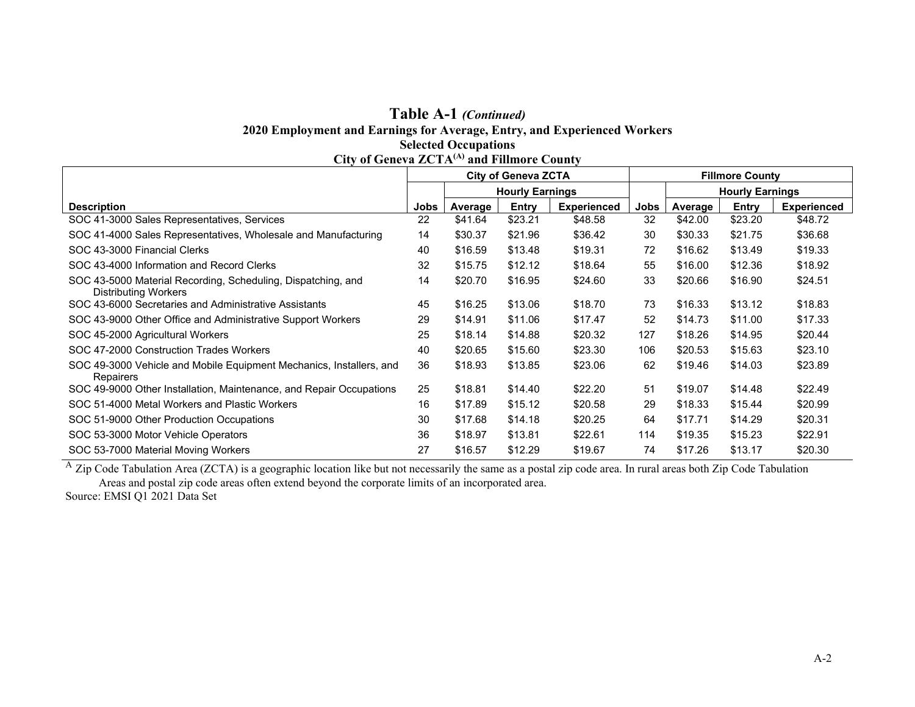## **Table A-1** *(Continued)* **2020 Employment and Earnings for Average, Entry, and Experienced Workers Selected Occupations City of Geneva ZCTA(A) and Fillmore County**

|                                                                                      | <b>City of Geneva ZCTA</b> |                        |         |                    |      | <b>Fillmore County</b> |         |                    |  |
|--------------------------------------------------------------------------------------|----------------------------|------------------------|---------|--------------------|------|------------------------|---------|--------------------|--|
|                                                                                      |                            | <b>Hourly Earnings</b> |         |                    |      | <b>Hourly Earnings</b> |         |                    |  |
| <b>Description</b>                                                                   | Jobs                       | Average                | Entry   | <b>Experienced</b> | Jobs | Average                | Entry   | <b>Experienced</b> |  |
| SOC 41-3000 Sales Representatives, Services                                          | 22                         | \$41.64                | \$23.21 | \$48.58            | 32   | \$42.00                | \$23.20 | \$48.72            |  |
| SOC 41-4000 Sales Representatives, Wholesale and Manufacturing                       | 14                         | \$30.37                | \$21.96 | \$36.42            | 30   | \$30.33                | \$21.75 | \$36.68            |  |
| SOC 43-3000 Financial Clerks                                                         | 40                         | \$16.59                | \$13.48 | \$19.31            | 72   | \$16.62                | \$13.49 | \$19.33            |  |
| SOC 43-4000 Information and Record Clerks                                            | 32                         | \$15.75                | \$12.12 | \$18.64            | 55   | \$16.00                | \$12.36 | \$18.92            |  |
| SOC 43-5000 Material Recording, Scheduling, Dispatching, and<br>Distributing Workers | 14                         | \$20.70                | \$16.95 | \$24.60            | 33   | \$20.66                | \$16.90 | \$24.51            |  |
| SOC 43-6000 Secretaries and Administrative Assistants                                | 45                         | \$16.25                | \$13.06 | \$18.70            | 73   | \$16.33                | \$13.12 | \$18.83            |  |
| SOC 43-9000 Other Office and Administrative Support Workers                          | 29                         | \$14.91                | \$11.06 | \$17.47            | 52   | \$14.73                | \$11.00 | \$17.33            |  |
| SOC 45-2000 Agricultural Workers                                                     | 25                         | \$18.14                | \$14.88 | \$20.32            | 127  | \$18.26                | \$14.95 | \$20.44            |  |
| SOC 47-2000 Construction Trades Workers                                              | 40                         | \$20.65                | \$15.60 | \$23.30            | 106  | \$20.53                | \$15.63 | \$23.10            |  |
| SOC 49-3000 Vehicle and Mobile Equipment Mechanics, Installers, and<br>Repairers     | 36                         | \$18.93                | \$13.85 | \$23.06            | 62   | \$19.46                | \$14.03 | \$23.89            |  |
| SOC 49-9000 Other Installation, Maintenance, and Repair Occupations                  | 25                         | \$18.81                | \$14.40 | \$22.20            | 51   | \$19.07                | \$14.48 | \$22.49            |  |
| SOC 51-4000 Metal Workers and Plastic Workers                                        | 16                         | \$17.89                | \$15.12 | \$20.58            | 29   | \$18.33                | \$15.44 | \$20.99            |  |
| SOC 51-9000 Other Production Occupations                                             | 30                         | \$17.68                | \$14.18 | \$20.25            | 64   | \$17.71                | \$14.29 | \$20.31            |  |
| SOC 53-3000 Motor Vehicle Operators                                                  | 36                         | \$18.97                | \$13.81 | \$22.61            | 114  | \$19.35                | \$15.23 | \$22.91            |  |
| SOC 53-7000 Material Moving Workers                                                  | 27                         | \$16.57                | \$12.29 | \$19.67            | 74   | \$17.26                | \$13.17 | \$20.30            |  |

 $^{\rm A}$  Zip Code Tabulation Area (ZCTA) is a geographic location like but not necessarily the same as a postal zip code area. In rural areas both Zip Code Tabulation Areas and postal zip code areas often extend beyond the corporate limits of an incorporated area.

Source: EMSI Q1 2021 Data Set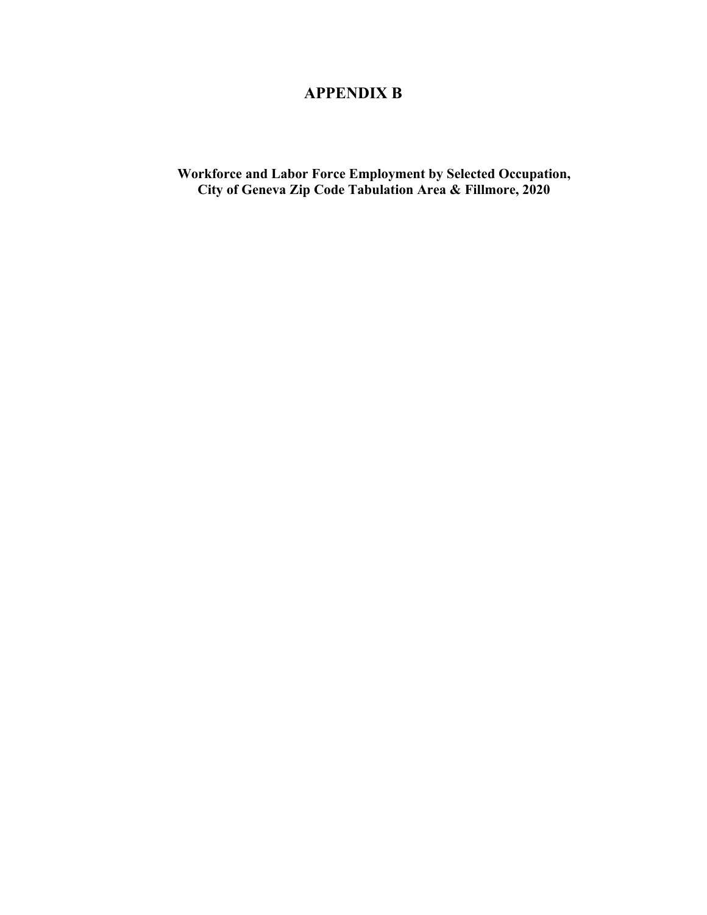# **APPENDIX B**

**Workforce and Labor Force Employment by Selected Occupation, City of Geneva Zip Code Tabulation Area & Fillmore, 2020**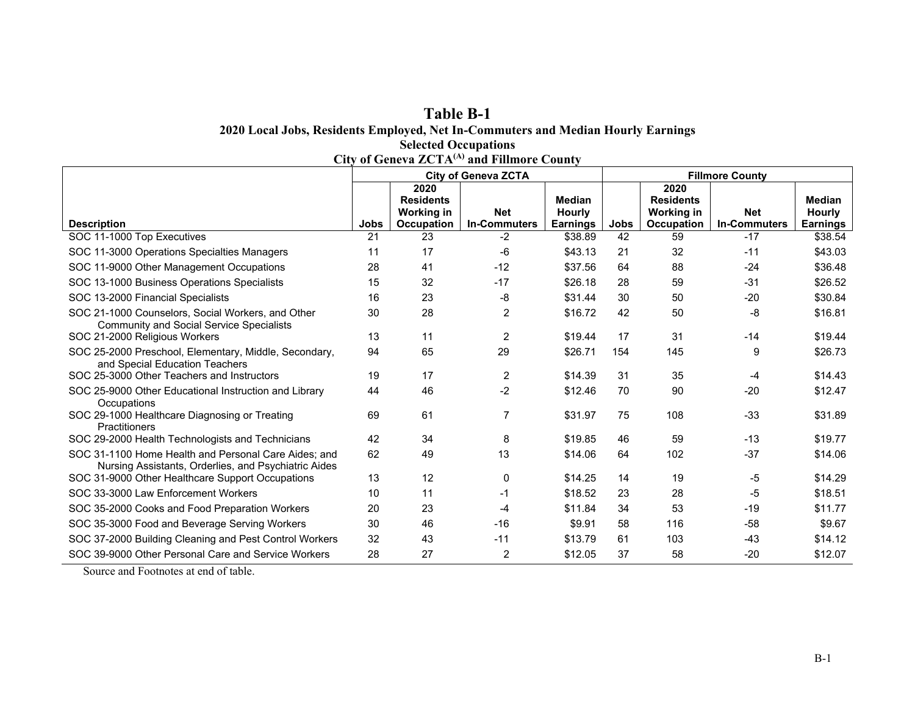### **Table B-1 2020 Local Jobs, Residents Employed, Net In-Commuters and Median Hourly Earnings Selected Occupations City of Geneva ZCTA(A) and Fillmore County**

|                                                                                                              |      | $\mathbf{C}$ ity of Guitya $\mathbf{Z} \mathbf{C}$ i $\mathbf{A}$ | and Finnore Count<br><b>City of Geneva ZCTA</b> |                           | <b>Fillmore County</b> |                                 |                                   |                                  |  |
|--------------------------------------------------------------------------------------------------------------|------|-------------------------------------------------------------------|-------------------------------------------------|---------------------------|------------------------|---------------------------------|-----------------------------------|----------------------------------|--|
|                                                                                                              |      | 2020                                                              |                                                 |                           |                        | 2020                            |                                   |                                  |  |
|                                                                                                              |      | <b>Residents</b>                                                  |                                                 | <b>Median</b>             |                        | <b>Residents</b>                |                                   | <b>Median</b>                    |  |
| <b>Description</b>                                                                                           | Jobs | <b>Working in</b><br>Occupation                                   | <b>Net</b><br><b>In-Commuters</b>               | Hourly<br><b>Earnings</b> | Jobs                   | Working in<br><b>Occupation</b> | <b>Net</b><br><b>In-Commuters</b> | <b>Hourly</b><br><b>Earnings</b> |  |
| SOC 11-1000 Top Executives                                                                                   | 21   | 23                                                                | -2                                              | \$38.89                   | 42                     | 59                              | $-17$                             | \$38.54                          |  |
| SOC 11-3000 Operations Specialties Managers                                                                  | 11   | 17                                                                | -6                                              | \$43.13                   | 21                     | 32                              | $-11$                             | \$43.03                          |  |
| SOC 11-9000 Other Management Occupations                                                                     | 28   | 41                                                                | $-12$                                           | \$37.56                   | 64                     | 88                              | $-24$                             | \$36.48                          |  |
| SOC 13-1000 Business Operations Specialists                                                                  | 15   | 32                                                                | $-17$                                           | \$26.18                   | 28                     | 59                              | $-31$                             | \$26.52                          |  |
| SOC 13-2000 Financial Specialists                                                                            | 16   | 23                                                                | -8                                              | \$31.44                   | 30                     | 50                              | $-20$                             | \$30.84                          |  |
| SOC 21-1000 Counselors, Social Workers, and Other<br><b>Community and Social Service Specialists</b>         | 30   | 28                                                                | $\overline{c}$                                  | \$16.72                   | 42                     | 50                              | -8                                | \$16.81                          |  |
| SOC 21-2000 Religious Workers                                                                                | 13   | 11                                                                | 2                                               | \$19.44                   | 17                     | 31                              | $-14$                             | \$19.44                          |  |
| SOC 25-2000 Preschool, Elementary, Middle, Secondary,<br>and Special Education Teachers                      | 94   | 65                                                                | 29                                              | \$26.71                   | 154                    | 145                             | 9                                 | \$26.73                          |  |
| SOC 25-3000 Other Teachers and Instructors                                                                   | 19   | 17                                                                | $\overline{2}$                                  | \$14.39                   | 31                     | 35                              | -4                                | \$14.43                          |  |
| SOC 25-9000 Other Educational Instruction and Library<br>Occupations                                         | 44   | 46                                                                | $-2$                                            | \$12.46                   | 70                     | 90                              | $-20$                             | \$12.47                          |  |
| SOC 29-1000 Healthcare Diagnosing or Treating<br>Practitioners                                               | 69   | 61                                                                | $\overline{7}$                                  | \$31.97                   | 75                     | 108                             | $-33$                             | \$31.89                          |  |
| SOC 29-2000 Health Technologists and Technicians                                                             | 42   | 34                                                                | 8                                               | \$19.85                   | 46                     | 59                              | $-13$                             | \$19.77                          |  |
| SOC 31-1100 Home Health and Personal Care Aides: and<br>Nursing Assistants, Orderlies, and Psychiatric Aides | 62   | 49                                                                | 13                                              | \$14.06                   | 64                     | 102                             | $-37$                             | \$14.06                          |  |
| SOC 31-9000 Other Healthcare Support Occupations                                                             | 13   | 12                                                                | 0                                               | \$14.25                   | 14                     | 19                              | -5                                | \$14.29                          |  |
| SOC 33-3000 Law Enforcement Workers                                                                          | 10   | 11                                                                | $-1$                                            | \$18.52                   | 23                     | 28                              | -5                                | \$18.51                          |  |
| SOC 35-2000 Cooks and Food Preparation Workers                                                               | 20   | 23                                                                | $-4$                                            | \$11.84                   | 34                     | 53                              | $-19$                             | \$11.77                          |  |
| SOC 35-3000 Food and Beverage Serving Workers                                                                | 30   | 46                                                                | $-16$                                           | \$9.91                    | 58                     | 116                             | $-58$                             | \$9.67                           |  |
| SOC 37-2000 Building Cleaning and Pest Control Workers                                                       | 32   | 43                                                                | $-11$                                           | \$13.79                   | 61                     | 103                             | $-43$                             | \$14.12                          |  |
| SOC 39-9000 Other Personal Care and Service Workers                                                          | 28   | 27                                                                | $\overline{c}$                                  | \$12.05                   | 37                     | 58                              | $-20$                             | \$12.07                          |  |

Source and Footnotes at end of table.